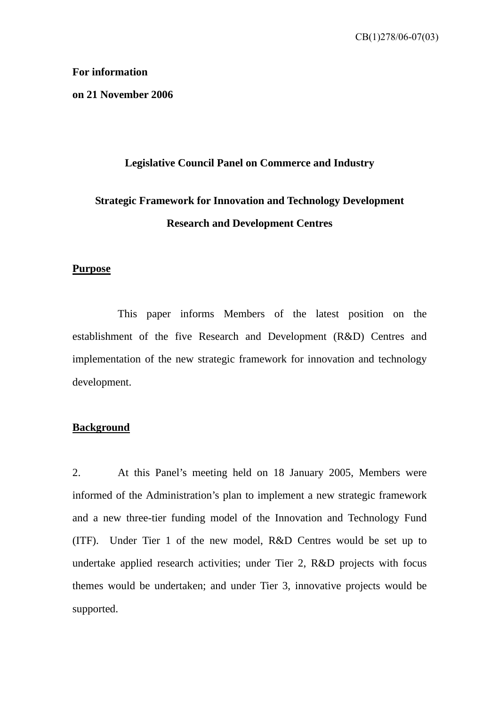#### **For information**

**on 21 November 2006** 

# **Legislative Council Panel on Commerce and Industry**

# **Strategic Framework for Innovation and Technology Development Research and Development Centres**

#### **Purpose**

 This paper informs Members of the latest position on the establishment of the five Research and Development (R&D) Centres and implementation of the new strategic framework for innovation and technology development.

#### **Background**

2. At this Panel's meeting held on 18 January 2005, Members were informed of the Administration's plan to implement a new strategic framework and a new three-tier funding model of the Innovation and Technology Fund (ITF). Under Tier 1 of the new model, R&D Centres would be set up to undertake applied research activities; under Tier 2, R&D projects with focus themes would be undertaken; and under Tier 3, innovative projects would be supported.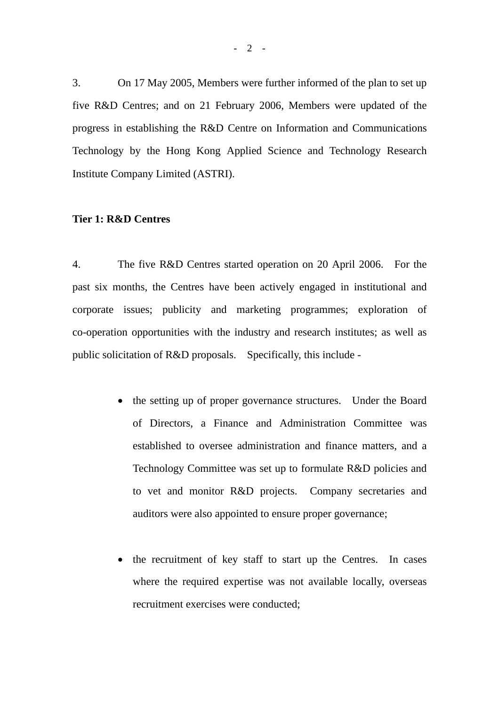3. On 17 May 2005, Members were further informed of the plan to set up five R&D Centres; and on 21 February 2006, Members were updated of the progress in establishing the R&D Centre on Information and Communications Technology by the Hong Kong Applied Science and Technology Research Institute Company Limited (ASTRI).

#### **Tier 1: R&D Centres**

4. The five R&D Centres started operation on 20 April 2006. For the past six months, the Centres have been actively engaged in institutional and corporate issues; publicity and marketing programmes; exploration of co-operation opportunities with the industry and research institutes; as well as public solicitation of R&D proposals. Specifically, this include -

- the setting up of proper governance structures. Under the Board of Directors, a Finance and Administration Committee was established to oversee administration and finance matters, and a Technology Committee was set up to formulate R&D policies and to vet and monitor R&D projects. Company secretaries and auditors were also appointed to ensure proper governance;
- the recruitment of key staff to start up the Centres. In cases where the required expertise was not available locally, overseas recruitment exercises were conducted;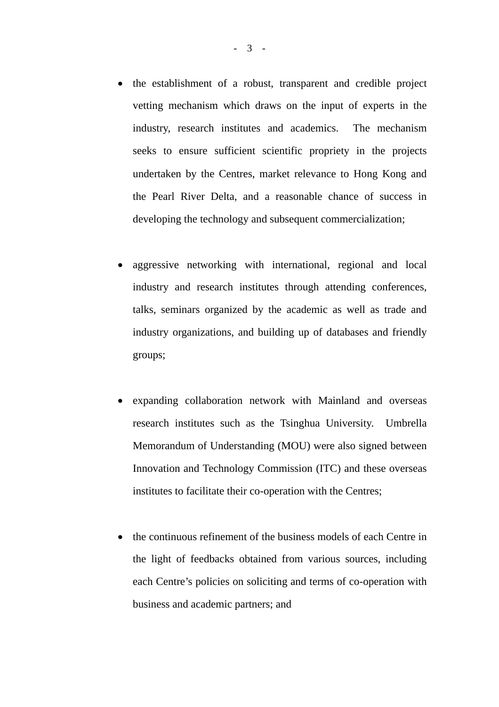- the establishment of a robust, transparent and credible project vetting mechanism which draws on the input of experts in the industry, research institutes and academics. The mechanism seeks to ensure sufficient scientific propriety in the projects undertaken by the Centres, market relevance to Hong Kong and the Pearl River Delta, and a reasonable chance of success in developing the technology and subsequent commercialization;
- aggressive networking with international, regional and local industry and research institutes through attending conferences, talks, seminars organized by the academic as well as trade and industry organizations, and building up of databases and friendly groups;
- expanding collaboration network with Mainland and overseas research institutes such as the Tsinghua University. Umbrella Memorandum of Understanding (MOU) were also signed between Innovation and Technology Commission (ITC) and these overseas institutes to facilitate their co-operation with the Centres;
- the continuous refinement of the business models of each Centre in the light of feedbacks obtained from various sources, including each Centre's policies on soliciting and terms of co-operation with business and academic partners; and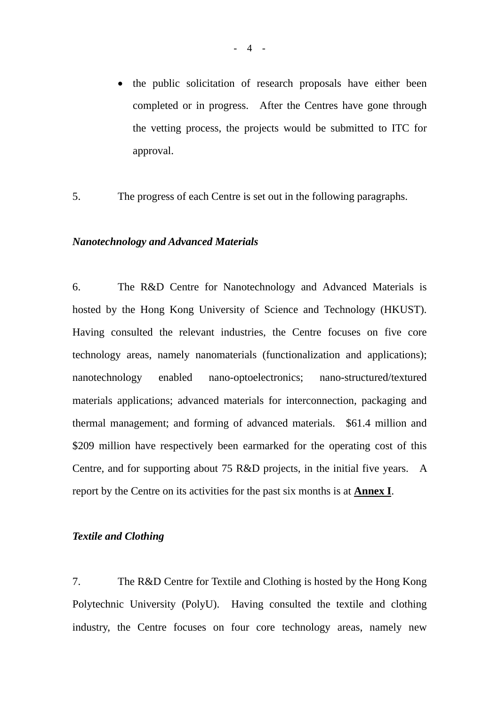- the public solicitation of research proposals have either been completed or in progress. After the Centres have gone through the vetting process, the projects would be submitted to ITC for approval.
- 5. The progress of each Centre is set out in the following paragraphs.

#### *Nanotechnology and Advanced Materials*

6. The R&D Centre for Nanotechnology and Advanced Materials is hosted by the Hong Kong University of Science and Technology (HKUST). Having consulted the relevant industries, the Centre focuses on five core technology areas, namely nanomaterials (functionalization and applications); nanotechnology enabled nano-optoelectronics; nano-structured/textured materials applications; advanced materials for interconnection, packaging and thermal management; and forming of advanced materials. \$61.4 million and \$209 million have respectively been earmarked for the operating cost of this Centre, and for supporting about 75 R&D projects, in the initial five years. A report by the Centre on its activities for the past six months is at **Annex I**.

#### *Textile and Clothing*

7. The R&D Centre for Textile and Clothing is hosted by the Hong Kong Polytechnic University (PolyU). Having consulted the textile and clothing industry, the Centre focuses on four core technology areas, namely new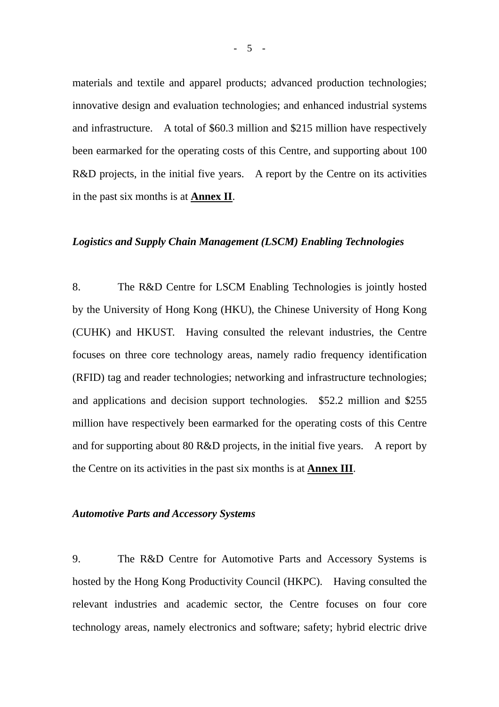materials and textile and apparel products; advanced production technologies; innovative design and evaluation technologies; and enhanced industrial systems and infrastructure. A total of \$60.3 million and \$215 million have respectively been earmarked for the operating costs of this Centre, and supporting about 100 R&D projects, in the initial five years. A report by the Centre on its activities in the past six months is at **Annex II**.

#### *Logistics and Supply Chain Management (LSCM) Enabling Technologies*

8. The R&D Centre for LSCM Enabling Technologies is jointly hosted by the University of Hong Kong (HKU), the Chinese University of Hong Kong (CUHK) and HKUST. Having consulted the relevant industries, the Centre focuses on three core technology areas, namely radio frequency identification (RFID) tag and reader technologies; networking and infrastructure technologies; and applications and decision support technologies. \$52.2 million and \$255 million have respectively been earmarked for the operating costs of this Centre and for supporting about 80 R&D projects, in the initial five years. A report by the Centre on its activities in the past six months is at **Annex III**.

#### *Automotive Parts and Accessory Systems*

9. The R&D Centre for Automotive Parts and Accessory Systems is hosted by the Hong Kong Productivity Council (HKPC). Having consulted the relevant industries and academic sector, the Centre focuses on four core technology areas, namely electronics and software; safety; hybrid electric drive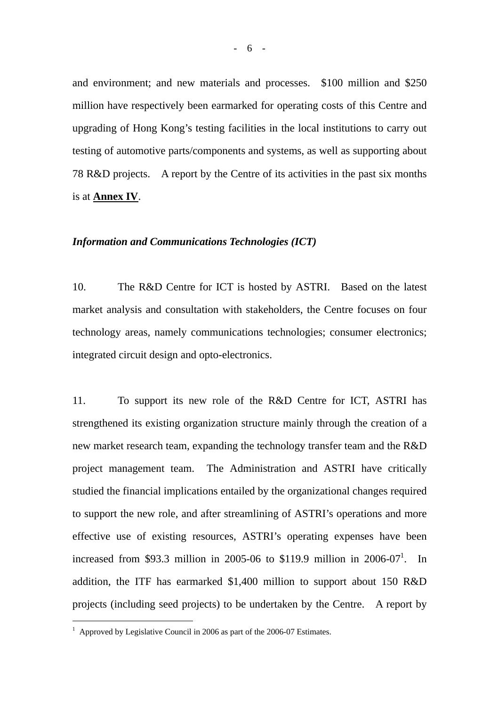and environment; and new materials and processes. \$100 million and \$250 million have respectively been earmarked for operating costs of this Centre and upgrading of Hong Kong's testing facilities in the local institutions to carry out testing of automotive parts/components and systems, as well as supporting about 78 R&D projects. A report by the Centre of its activities in the past six months is at **Annex IV**.

#### *Information and Communications Technologies (ICT)*

10. The R&D Centre for ICT is hosted by ASTRI. Based on the latest market analysis and consultation with stakeholders, the Centre focuses on four technology areas, namely communications technologies; consumer electronics; integrated circuit design and opto-electronics.

11. To support its new role of the R&D Centre for ICT, ASTRI has strengthened its existing organization structure mainly through the creation of a new market research team, expanding the technology transfer team and the R&D project management team. The Administration and ASTRI have critically studied the financial implications entailed by the organizational changes required to support the new role, and after streamlining of ASTRI's operations and more effective use of existing resources, ASTRI's operating expenses have been increased from \$93.3 million in 2005-06 to \$[1](#page-5-0)19.9 million in  $2006-07<sup>1</sup>$ . In addition, the ITF has earmarked \$1,400 million to support about 150 R&D projects (including seed projects) to be undertaken by the Centre. A report by

 $\overline{a}$ 

<span id="page-5-0"></span><sup>&</sup>lt;sup>1</sup> Approved by Legislative Council in 2006 as part of the 2006-07 Estimates.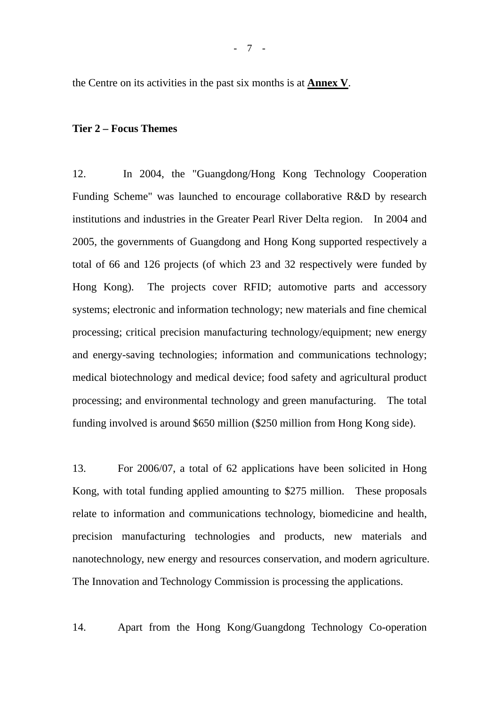the Centre on its activities in the past six months is at **Annex V**.

#### **Tier 2 – Focus Themes**

12. In 2004, the "Guangdong/Hong Kong Technology Cooperation Funding Scheme" was launched to encourage collaborative R&D by research institutions and industries in the Greater Pearl River Delta region. In 2004 and 2005, the governments of Guangdong and Hong Kong supported respectively a total of 66 and 126 projects (of which 23 and 32 respectively were funded by Hong Kong). The projects cover RFID; automotive parts and accessory systems; electronic and information technology; new materials and fine chemical processing; critical precision manufacturing technology/equipment; new energy and energy-saving technologies; information and communications technology; medical biotechnology and medical device; food safety and agricultural product processing; and environmental technology and green manufacturing. The total funding involved is around \$650 million (\$250 million from Hong Kong side).

13. For 2006/07, a total of 62 applications have been solicited in Hong Kong, with total funding applied amounting to \$275 million. These proposals relate to information and communications technology, biomedicine and health, precision manufacturing technologies and products, new materials and nanotechnology, new energy and resources conservation, and modern agriculture. The Innovation and Technology Commission is processing the applications.

14. Apart from the Hong Kong/Guangdong Technology Co-operation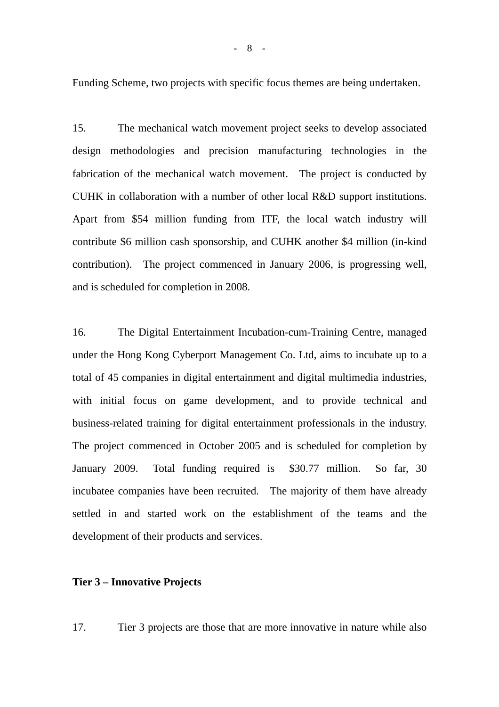Funding Scheme, two projects with specific focus themes are being undertaken.

15. The mechanical watch movement project seeks to develop associated design methodologies and precision manufacturing technologies in the fabrication of the mechanical watch movement. The project is conducted by CUHK in collaboration with a number of other local R&D support institutions. Apart from \$54 million funding from ITF, the local watch industry will contribute \$6 million cash sponsorship, and CUHK another \$4 million (in-kind contribution). The project commenced in January 2006, is progressing well, and is scheduled for completion in 2008.

16. The Digital Entertainment Incubation-cum-Training Centre, managed under the Hong Kong Cyberport Management Co. Ltd, aims to incubate up to a total of 45 companies in digital entertainment and digital multimedia industries, with initial focus on game development, and to provide technical and business-related training for digital entertainment professionals in the industry. The project commenced in October 2005 and is scheduled for completion by January 2009. Total funding required is \$30.77 million. So far, 30 incubatee companies have been recruited. The majority of them have already settled in and started work on the establishment of the teams and the development of their products and services.

#### **Tier 3 – Innovative Projects**

17. Tier 3 projects are those that are more innovative in nature while also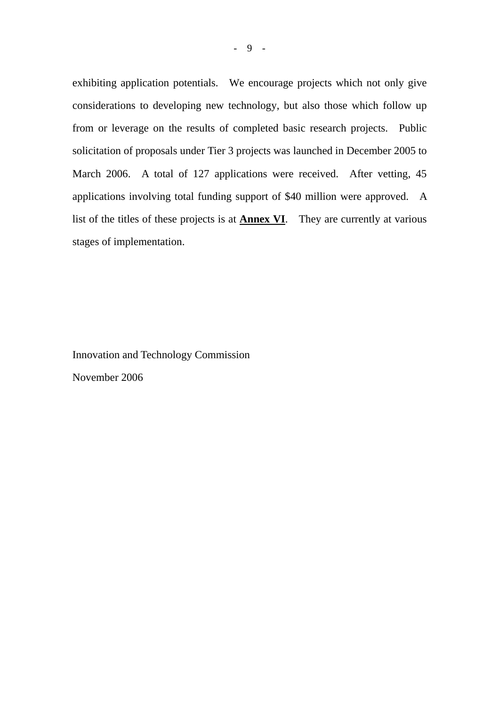exhibiting application potentials. We encourage projects which not only give considerations to developing new technology, but also those which follow up from or leverage on the results of completed basic research projects. Public solicitation of proposals under Tier 3 projects was launched in December 2005 to March 2006. A total of 127 applications were received. After vetting, 45 applications involving total funding support of \$40 million were approved. A list of the titles of these projects is at **Annex VI**. They are currently at various stages of implementation.

Innovation and Technology Commission November 2006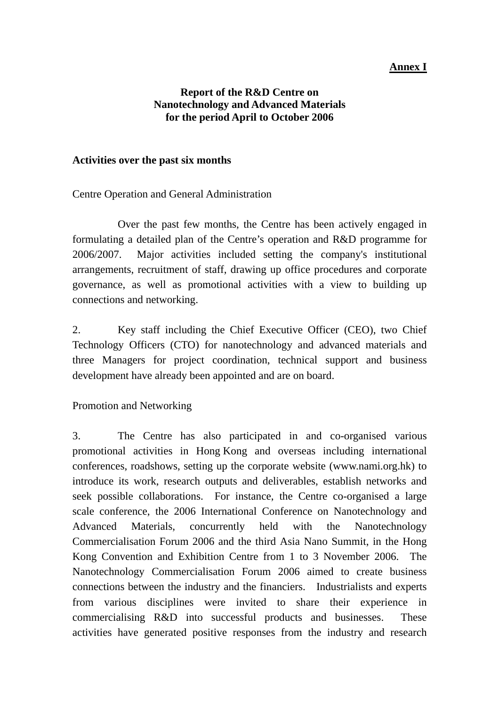## **Annex I**

#### **Report of the R&D Centre on Nanotechnology and Advanced Materials for the period April to October 2006**

#### **Activities over the past six months**

Centre Operation and General Administration

 Over the past few months, the Centre has been actively engaged in formulating a detailed plan of the Centre's operation and R&D programme for 2006/2007. Major activities included setting the company's institutional arrangements, recruitment of staff, drawing up office procedures and corporate governance, as well as promotional activities with a view to building up connections and networking.

2. Key staff including the Chief Executive Officer (CEO), two Chief Technology Officers (CTO) for nanotechnology and advanced materials and three Managers for project coordination, technical support and business development have already been appointed and are on board.

Promotion and Networking

3. The Centre has also participated in and co-organised various promotional activities in Hong Kong and overseas including international conferences, roadshows, setting up the corporate website (www.nami.org.hk) to introduce its work, research outputs and deliverables, establish networks and seek possible collaborations. For instance, the Centre co-organised a large scale conference, the 2006 International Conference on Nanotechnology and Advanced Materials, concurrently held with the Nanotechnology Commercialisation Forum 2006 and the third Asia Nano Summit, in the Hong Kong Convention and Exhibition Centre from 1 to 3 November 2006. The Nanotechnology Commercialisation Forum 2006 aimed to create business connections between the industry and the financiers. Industrialists and experts from various disciplines were invited to share their experience in commercialising R&D into successful products and businesses. These activities have generated positive responses from the industry and research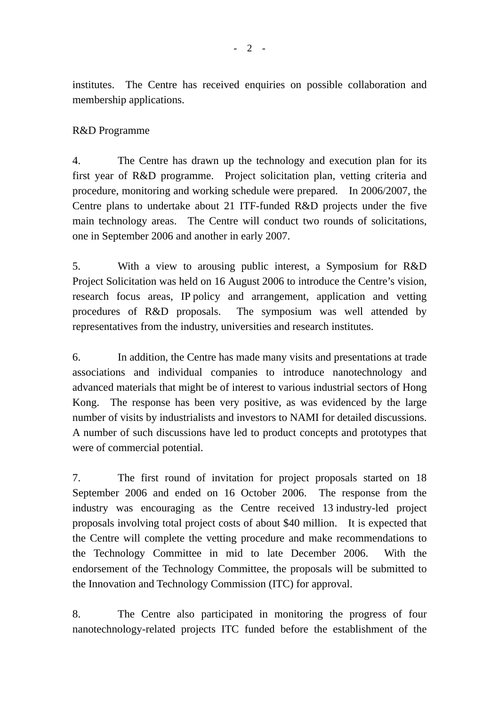institutes. The Centre has received enquiries on possible collaboration and membership applications.

## R&D Programme

4. The Centre has drawn up the technology and execution plan for its first year of R&D programme. Project solicitation plan, vetting criteria and procedure, monitoring and working schedule were prepared. In 2006/2007, the Centre plans to undertake about 21 ITF-funded R&D projects under the five main technology areas. The Centre will conduct two rounds of solicitations, one in September 2006 and another in early 2007.

5. With a view to arousing public interest, a Symposium for R&D Project Solicitation was held on 16 August 2006 to introduce the Centre's vision, research focus areas, IP policy and arrangement, application and vetting procedures of R&D proposals. The symposium was well attended by representatives from the industry, universities and research institutes.

6. In addition, the Centre has made many visits and presentations at trade associations and individual companies to introduce nanotechnology and advanced materials that might be of interest to various industrial sectors of Hong Kong. The response has been very positive, as was evidenced by the large number of visits by industrialists and investors to NAMI for detailed discussions. A number of such discussions have led to product concepts and prototypes that were of commercial potential.

7. The first round of invitation for project proposals started on 18 September 2006 and ended on 16 October 2006. The response from the industry was encouraging as the Centre received 13 industry-led project proposals involving total project costs of about \$40 million. It is expected that the Centre will complete the vetting procedure and make recommendations to the Technology Committee in mid to late December 2006. With the endorsement of the Technology Committee, the proposals will be submitted to the Innovation and Technology Commission (ITC) for approval.

8. The Centre also participated in monitoring the progress of four nanotechnology-related projects ITC funded before the establishment of the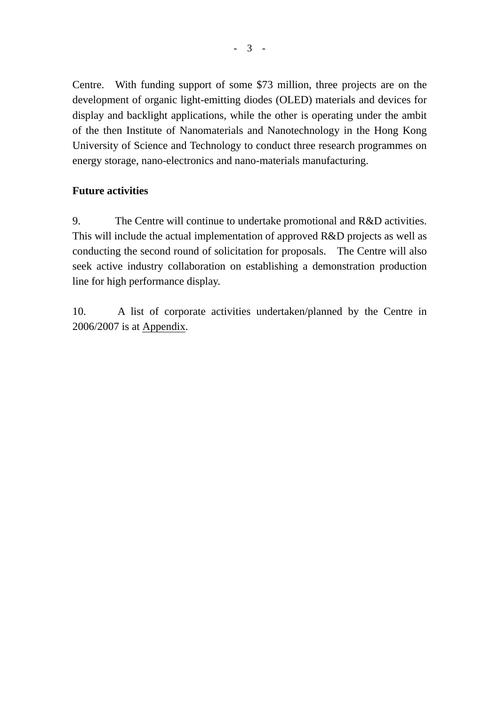Centre. With funding support of some \$73 million, three projects are on the development of organic light-emitting diodes (OLED) materials and devices for display and backlight applications, while the other is operating under the ambit of the then Institute of Nanomaterials and Nanotechnology in the Hong Kong University of Science and Technology to conduct three research programmes on energy storage, nano-electronics and nano-materials manufacturing.

## **Future activities**

9. The Centre will continue to undertake promotional and R&D activities. This will include the actual implementation of approved R&D projects as well as conducting the second round of solicitation for proposals. The Centre will also seek active industry collaboration on establishing a demonstration production line for high performance display.

10. A list of corporate activities undertaken/planned by the Centre in 2006/2007 is at Appendix.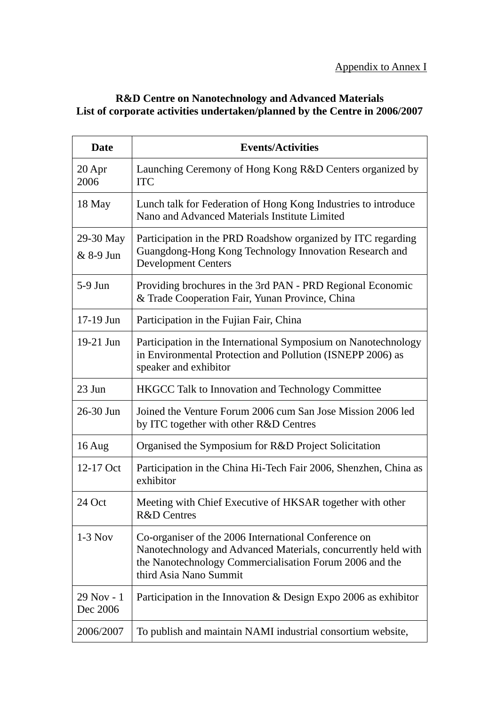## **R&D Centre on Nanotechnology and Advanced Materials List of corporate activities undertaken/planned by the Centre in 2006/2007**

| <b>Date</b>              | <b>Events/Activities</b>                                                                                                                                                                                   |
|--------------------------|------------------------------------------------------------------------------------------------------------------------------------------------------------------------------------------------------------|
| $20$ Apr<br>2006         | Launching Ceremony of Hong Kong R&D Centers organized by<br><b>ITC</b>                                                                                                                                     |
| 18 May                   | Lunch talk for Federation of Hong Kong Industries to introduce<br>Nano and Advanced Materials Institute Limited                                                                                            |
| 29-30 May<br>& 8-9 Jun   | Participation in the PRD Roadshow organized by ITC regarding<br>Guangdong-Hong Kong Technology Innovation Research and<br><b>Development Centers</b>                                                       |
| $5-9$ Jun                | Providing brochures in the 3rd PAN - PRD Regional Economic<br>& Trade Cooperation Fair, Yunan Province, China                                                                                              |
| 17-19 Jun                | Participation in the Fujian Fair, China                                                                                                                                                                    |
| 19-21 Jun                | Participation in the International Symposium on Nanotechnology<br>in Environmental Protection and Pollution (ISNEPP 2006) as<br>speaker and exhibitor                                                      |
| 23 Jun                   | HKGCC Talk to Innovation and Technology Committee                                                                                                                                                          |
| 26-30 Jun                | Joined the Venture Forum 2006 cum San Jose Mission 2006 led<br>by ITC together with other R&D Centres                                                                                                      |
| $16$ Aug                 | Organised the Symposium for R&D Project Solicitation                                                                                                                                                       |
| 12-17 Oct                | Participation in the China Hi-Tech Fair 2006, Shenzhen, China as<br>exhibitor                                                                                                                              |
| 24 Oct                   | Meeting with Chief Executive of HKSAR together with other<br><b>R&amp;D</b> Centres                                                                                                                        |
| $1-3$ Nov                | Co-organiser of the 2006 International Conference on<br>Nanotechnology and Advanced Materials, concurrently held with<br>the Nanotechnology Commercialisation Forum 2006 and the<br>third Asia Nano Summit |
| $29$ Nov - 1<br>Dec 2006 | Participation in the Innovation $\&$ Design Expo 2006 as exhibitor                                                                                                                                         |
| 2006/2007                | To publish and maintain NAMI industrial consortium website,                                                                                                                                                |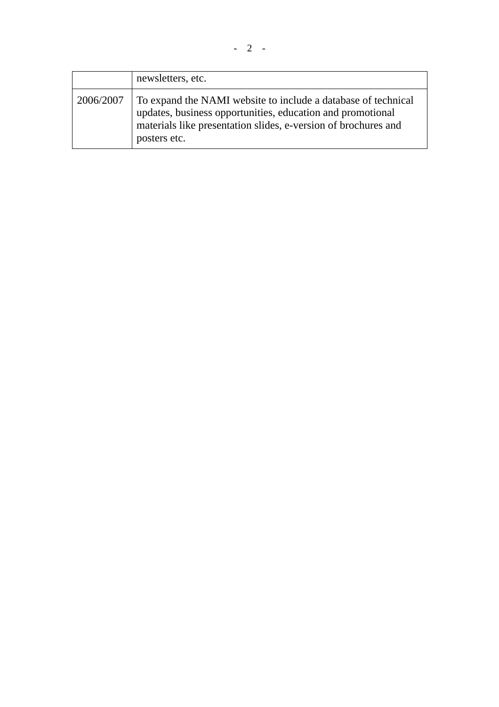|           | newsletters, etc.                                                                                                                                                                                             |
|-----------|---------------------------------------------------------------------------------------------------------------------------------------------------------------------------------------------------------------|
| 2006/2007 | To expand the NAMI website to include a database of technical<br>updates, business opportunities, education and promotional<br>materials like presentation slides, e-version of brochures and<br>posters etc. |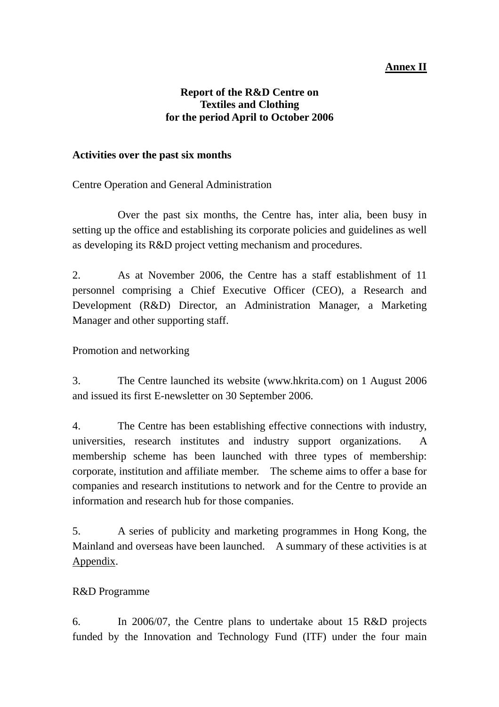## **Annex II**

#### **Report of the R&D Centre on Textiles and Clothing for the period April to October 2006**

#### **Activities over the past six months**

Centre Operation and General Administration

 Over the past six months, the Centre has, inter alia, been busy in setting up the office and establishing its corporate policies and guidelines as well as developing its R&D project vetting mechanism and procedures.

2. As at November 2006, the Centre has a staff establishment of 11 personnel comprising a Chief Executive Officer (CEO), a Research and Development (R&D) Director, an Administration Manager, a Marketing Manager and other supporting staff.

Promotion and networking

3. The Centre launched its website (www.hkrita.com) on 1 August 2006 and issued its first E-newsletter on 30 September 2006.

4. The Centre has been establishing effective connections with industry, universities, research institutes and industry support organizations. A membership scheme has been launched with three types of membership: corporate, institution and affiliate member. The scheme aims to offer a base for companies and research institutions to network and for the Centre to provide an information and research hub for those companies.

5. A series of publicity and marketing programmes in Hong Kong, the Mainland and overseas have been launched. A summary of these activities is at Appendix.

#### R&D Programme

6. In 2006/07, the Centre plans to undertake about 15 R&D projects funded by the Innovation and Technology Fund (ITF) under the four main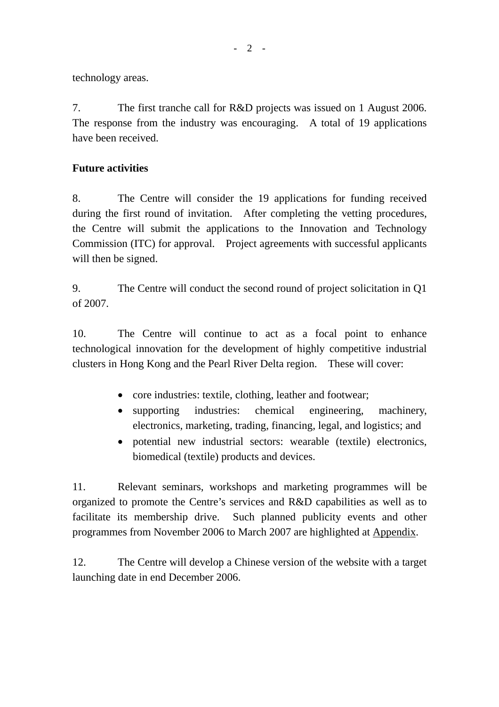technology areas.

7. The first tranche call for R&D projects was issued on 1 August 2006. The response from the industry was encouraging. A total of 19 applications have been received.

#### **Future activities**

8. The Centre will consider the 19 applications for funding received during the first round of invitation. After completing the vetting procedures, the Centre will submit the applications to the Innovation and Technology Commission (ITC) for approval. Project agreements with successful applicants will then be signed.

9. The Centre will conduct the second round of project solicitation in Q1 of 2007.

10. The Centre will continue to act as a focal point to enhance technological innovation for the development of highly competitive industrial clusters in Hong Kong and the Pearl River Delta region. These will cover:

- core industries: textile, clothing, leather and footwear;
- supporting industries: chemical engineering, machinery, electronics, marketing, trading, financing, legal, and logistics; and
- potential new industrial sectors: wearable (textile) electronics, biomedical (textile) products and devices.

11. Relevant seminars, workshops and marketing programmes will be organized to promote the Centre's services and R&D capabilities as well as to facilitate its membership drive. Such planned publicity events and other programmes from November 2006 to March 2007 are highlighted at Appendix.

12. The Centre will develop a Chinese version of the website with a target launching date in end December 2006.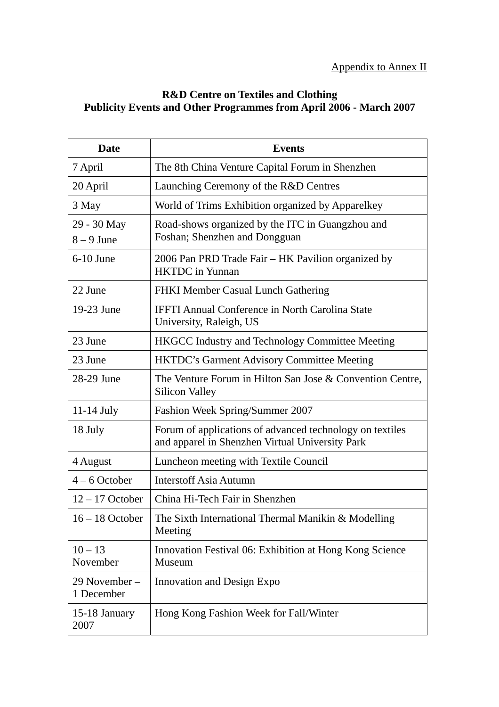## **R&D Centre on Textiles and Clothing Publicity Events and Other Programmes from April 2006 - March 2007**

| <b>Date</b>                 | <b>Events</b>                                                                                               |
|-----------------------------|-------------------------------------------------------------------------------------------------------------|
| 7 April                     | The 8th China Venture Capital Forum in Shenzhen                                                             |
| 20 April                    | Launching Ceremony of the R&D Centres                                                                       |
| 3 May                       | World of Trims Exhibition organized by Apparelkey                                                           |
| 29 - 30 May<br>$8 - 9$ June | Road-shows organized by the ITC in Guangzhou and<br>Foshan; Shenzhen and Dongguan                           |
| $6-10$ June                 | 2006 Pan PRD Trade Fair - HK Pavilion organized by<br><b>HKTDC</b> in Yunnan                                |
| 22 June                     | FHKI Member Casual Lunch Gathering                                                                          |
| 19-23 June                  | <b>IFFTI Annual Conference in North Carolina State</b><br>University, Raleigh, US                           |
| 23 June                     | <b>HKGCC Industry and Technology Committee Meeting</b>                                                      |
| 23 June                     | <b>HKTDC's Garment Advisory Committee Meeting</b>                                                           |
| 28-29 June                  | The Venture Forum in Hilton San Jose & Convention Centre,<br><b>Silicon Valley</b>                          |
| $11-14$ July                | Fashion Week Spring/Summer 2007                                                                             |
| 18 July                     | Forum of applications of advanced technology on textiles<br>and apparel in Shenzhen Virtual University Park |
| 4 August                    | Luncheon meeting with Textile Council                                                                       |
| $4 - 6$ October             | <b>Interstoff Asia Autumn</b>                                                                               |
| $12 - 17$ October           | China Hi-Tech Fair in Shenzhen                                                                              |
| $16 - 18$ October           | The Sixth International Thermal Manikin & Modelling<br>Meeting                                              |
| $10 - 13$<br>November       | Innovation Festival 06: Exhibition at Hong Kong Science<br>Museum                                           |
| 29 November –<br>1 December | <b>Innovation and Design Expo</b>                                                                           |
| 15-18 January<br>2007       | Hong Kong Fashion Week for Fall/Winter                                                                      |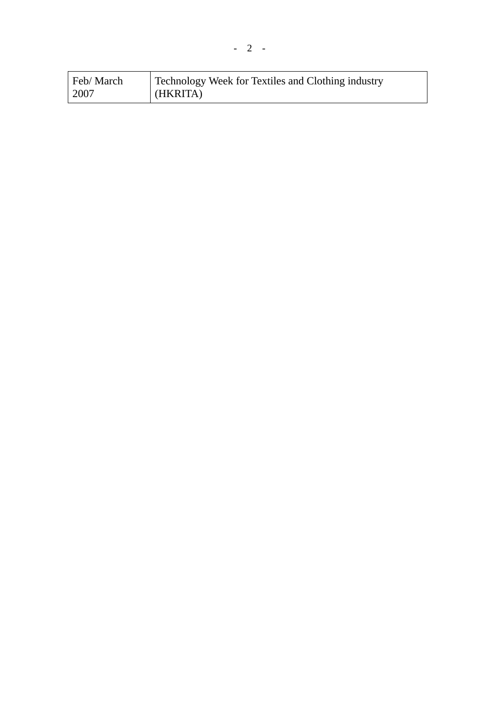| Feb/March | Technology Week for Textiles and Clothing industry |
|-----------|----------------------------------------------------|
| 2007      | HKRITA)                                            |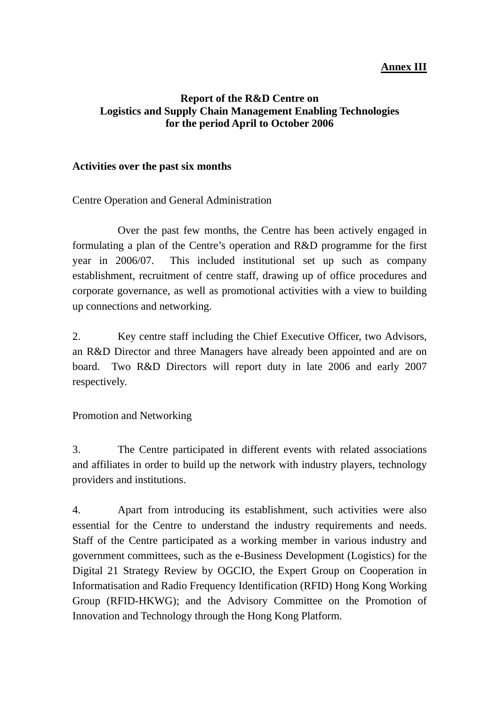## **Annex III**

#### **Report of the R&D Centre on Logistics and Supply Chain Management Enabling Technologies for the period April to October 2006**

#### **Activities over the past six months**

Centre Operation and General Administration

 Over the past few months, the Centre has been actively engaged in formulating a plan of the Centre's operation and R&D programme for the first year in 2006/07. This included institutional set up such as company establishment, recruitment of centre staff, drawing up of office procedures and corporate governance, as well as promotional activities with a view to building up connections and networking.

2. Key centre staff including the Chief Executive Officer, two Advisors, an R&D Director and three Managers have already been appointed and are on board. Two R&D Directors will report duty in late 2006 and early 2007 respectively.

Promotion and Networking

3. The Centre participated in different events with related associations and affiliates in order to build up the network with industry players, technology providers and institutions.

4. Apart from introducing its establishment, such activities were also essential for the Centre to understand the industry requirements and needs. Staff of the Centre participated as a working member in various industry and government committees, such as the e-Business Development (Logistics) for the Digital 21 Strategy Review by OGCIO, the Expert Group on Cooperation in Informatisation and Radio Frequency Identification (RFID) Hong Kong Working Group (RFID-HKWG); and the Advisory Committee on the Promotion of Innovation and Technology through the Hong Kong Platform.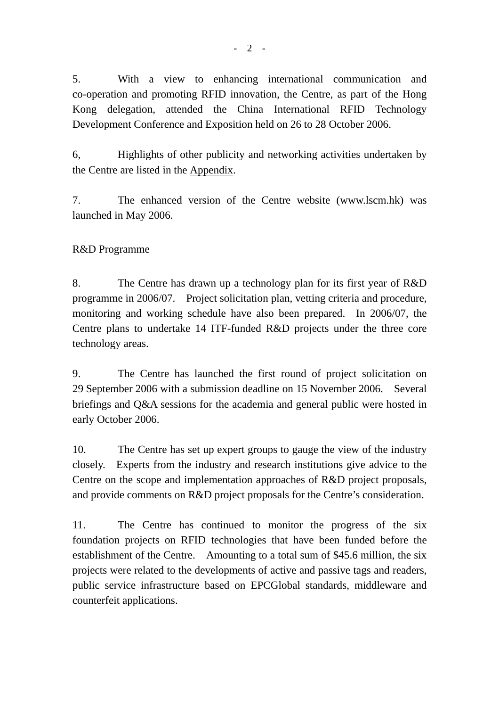5. With a view to enhancing international communication and co-operation and promoting RFID innovation, the Centre, as part of the Hong Kong delegation, attended the China International RFID Technology Development Conference and Exposition held on 26 to 28 October 2006.

6, Highlights of other publicity and networking activities undertaken by the Centre are listed in the Appendix.

7. The enhanced version of the Centre website (www.lscm.hk) was launched in May 2006.

## R&D Programme

8. The Centre has drawn up a technology plan for its first year of R&D programme in 2006/07. Project solicitation plan, vetting criteria and procedure, monitoring and working schedule have also been prepared. In 2006/07, the Centre plans to undertake 14 ITF-funded R&D projects under the three core technology areas.

9. The Centre has launched the first round of project solicitation on 29 September 2006 with a submission deadline on 15 November 2006. Several briefings and Q&A sessions for the academia and general public were hosted in early October 2006.

10. The Centre has set up expert groups to gauge the view of the industry closely. Experts from the industry and research institutions give advice to the Centre on the scope and implementation approaches of R&D project proposals, and provide comments on R&D project proposals for the Centre's consideration.

11. The Centre has continued to monitor the progress of the six foundation projects on RFID technologies that have been funded before the establishment of the Centre. Amounting to a total sum of \$45.6 million, the six projects were related to the developments of active and passive tags and readers, public service infrastructure based on EPCGlobal standards, middleware and counterfeit applications.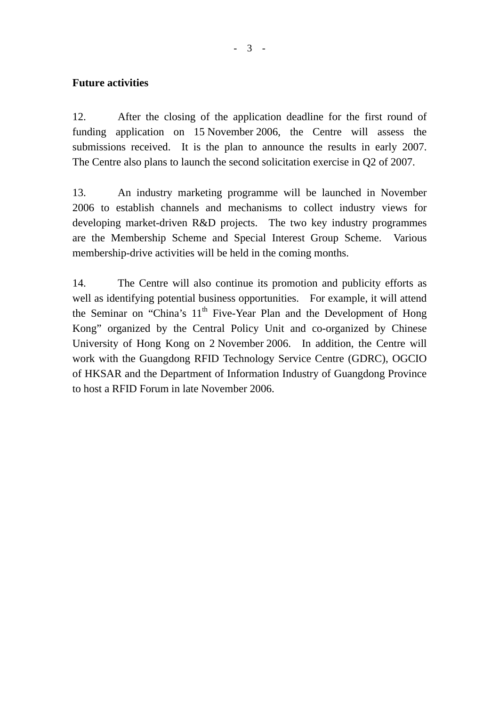#### **Future activities**

12. After the closing of the application deadline for the first round of funding application on 15 November 2006, the Centre will assess the submissions received. It is the plan to announce the results in early 2007. The Centre also plans to launch the second solicitation exercise in Q2 of 2007.

13. An industry marketing programme will be launched in November 2006 to establish channels and mechanisms to collect industry views for developing market-driven R&D projects. The two key industry programmes are the Membership Scheme and Special Interest Group Scheme. Various membership-drive activities will be held in the coming months.

14. The Centre will also continue its promotion and publicity efforts as well as identifying potential business opportunities. For example, it will attend the Seminar on "China's  $11<sup>th</sup>$  Five-Year Plan and the Development of Hong Kong" organized by the Central Policy Unit and co-organized by Chinese University of Hong Kong on 2 November 2006. In addition, the Centre will work with the Guangdong RFID Technology Service Centre (GDRC), OGCIO of HKSAR and the Department of Information Industry of Guangdong Province to host a RFID Forum in late November 2006.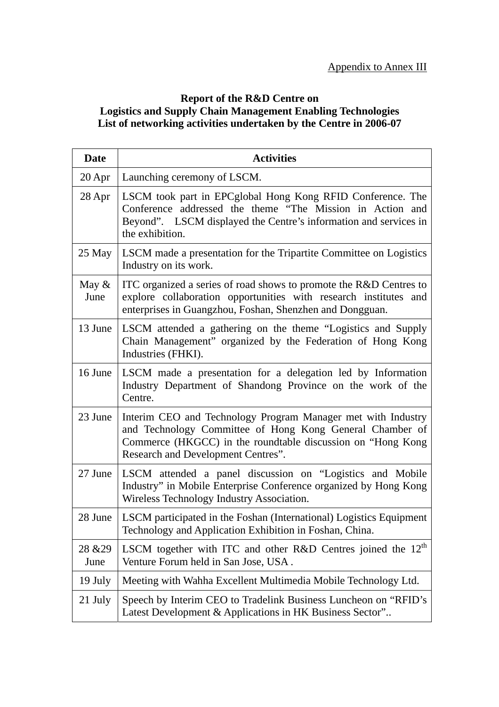## **Report of the R&D Centre on Logistics and Supply Chain Management Enabling Technologies List of networking activities undertaken by the Centre in 2006-07**

| <b>Date</b>      | <b>Activities</b>                                                                                                                                                                                                             |
|------------------|-------------------------------------------------------------------------------------------------------------------------------------------------------------------------------------------------------------------------------|
| $20$ Apr         | Launching ceremony of LSCM.                                                                                                                                                                                                   |
| $28$ Apr         | LSCM took part in EPCglobal Hong Kong RFID Conference. The<br>Conference addressed the theme "The Mission in Action and<br>Beyond". LSCM displayed the Centre's information and services in<br>the exhibition.                |
| 25 May           | LSCM made a presentation for the Tripartite Committee on Logistics<br>Industry on its work.                                                                                                                                   |
| May $\&$<br>June | ITC organized a series of road shows to promote the R&D Centres to<br>explore collaboration opportunities with research institutes and<br>enterprises in Guangzhou, Foshan, Shenzhen and Dongguan.                            |
| 13 June          | LSCM attended a gathering on the theme "Logistics and Supply<br>Chain Management" organized by the Federation of Hong Kong<br>Industries (FHKI).                                                                              |
| 16 June          | <b>LSCM</b> made a presentation for a delegation led by Information<br>Industry Department of Shandong Province on the work of the<br>Centre.                                                                                 |
| 23 June          | Interim CEO and Technology Program Manager met with Industry<br>and Technology Committee of Hong Kong General Chamber of<br>Commerce (HKGCC) in the roundtable discussion on "Hong Kong<br>Research and Development Centres". |
| 27 June          | LSCM attended a panel discussion on "Logistics and Mobile"<br>Industry" in Mobile Enterprise Conference organized by Hong Kong<br>Wireless Technology Industry Association.                                                   |
| 28 June          | LSCM participated in the Foshan (International) Logistics Equipment<br>Technology and Application Exhibition in Foshan, China.                                                                                                |
| 28 & 29<br>June  | LSCM together with ITC and other R&D Centres joined the 12 <sup>th</sup><br>Venture Forum held in San Jose, USA.                                                                                                              |
| 19 July          | Meeting with Wahha Excellent Multimedia Mobile Technology Ltd.                                                                                                                                                                |
| 21 July          | Speech by Interim CEO to Tradelink Business Luncheon on "RFID's<br>Latest Development & Applications in HK Business Sector"                                                                                                   |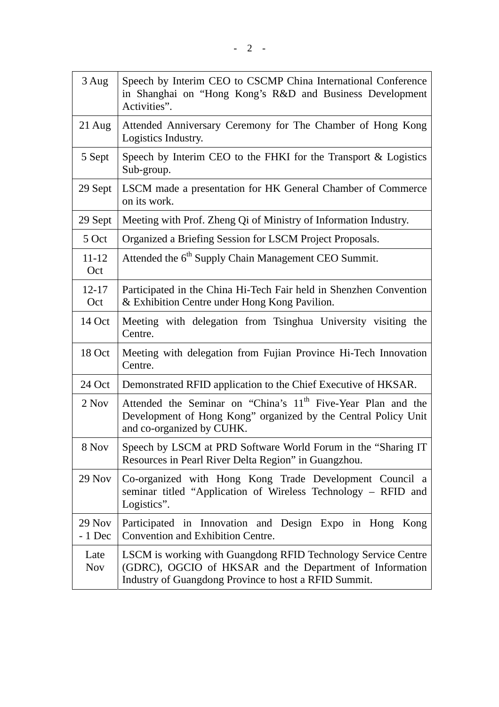| 3 Aug                | Speech by Interim CEO to CSCMP China International Conference<br>in Shanghai on "Hong Kong's R&D and Business Development<br>Activities".                                          |
|----------------------|------------------------------------------------------------------------------------------------------------------------------------------------------------------------------------|
| $21$ Aug             | Attended Anniversary Ceremony for The Chamber of Hong Kong<br>Logistics Industry.                                                                                                  |
| 5 Sept               | Speech by Interim CEO to the FHKI for the Transport & Logistics<br>Sub-group.                                                                                                      |
| 29 Sept              | LSCM made a presentation for HK General Chamber of Commerce<br>on its work.                                                                                                        |
| 29 Sept              | Meeting with Prof. Zheng Qi of Ministry of Information Industry.                                                                                                                   |
| 5 Oct                | Organized a Briefing Session for LSCM Project Proposals.                                                                                                                           |
| $11 - 12$<br>Oct     | Attended the 6 <sup>th</sup> Supply Chain Management CEO Summit.                                                                                                                   |
| $12 - 17$<br>Oct     | Participated in the China Hi-Tech Fair held in Shenzhen Convention<br>& Exhibition Centre under Hong Kong Pavilion.                                                                |
| 14 Oct               | Meeting with delegation from Tsinghua University visiting the<br>Centre.                                                                                                           |
| 18 Oct               | Meeting with delegation from Fujian Province Hi-Tech Innovation<br>Centre.                                                                                                         |
| 24 Oct               | Demonstrated RFID application to the Chief Executive of HKSAR.                                                                                                                     |
| 2 Nov                | Attended the Seminar on "China's 11 <sup>th</sup> Five-Year Plan and the<br>Development of Hong Kong" organized by the Central Policy Unit<br>and co-organized by CUHK.            |
| 8 Nov                | Speech by LSCM at PRD Software World Forum in the "Sharing IT<br>Resources in Pearl River Delta Region" in Guangzhou.                                                              |
| 29 Nov               | Co-organized with Hong Kong Trade Development Council a<br>seminar titled "Application of Wireless Technology – RFID and<br>Logistics".                                            |
| $29$ Nov<br>$-1$ Dec | Participated in Innovation and Design Expo in Hong Kong<br><b>Convention and Exhibition Centre.</b>                                                                                |
| Late<br><b>Nov</b>   | LSCM is working with Guangdong RFID Technology Service Centre<br>(GDRC), OGCIO of HKSAR and the Department of Information<br>Industry of Guangdong Province to host a RFID Summit. |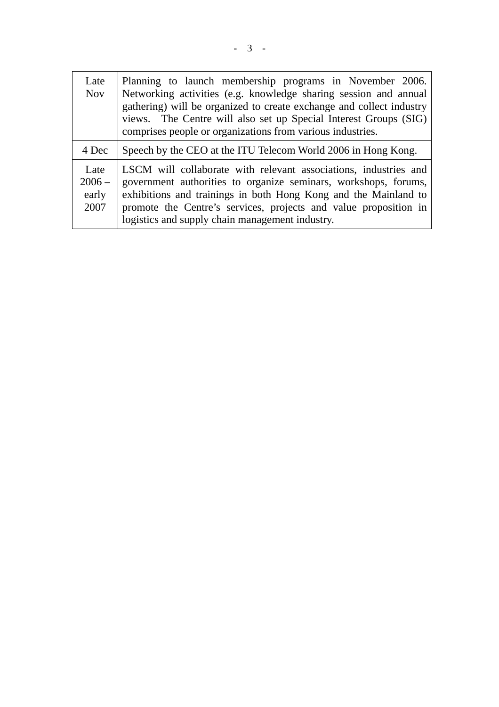| Late<br><b>Nov</b>                | Planning to launch membership programs in November 2006.<br>Networking activities (e.g. knowledge sharing session and annual<br>gathering) will be organized to create exchange and collect industry<br>views. The Centre will also set up Special Interest Groups (SIG)<br>comprises people or organizations from various industries. |
|-----------------------------------|----------------------------------------------------------------------------------------------------------------------------------------------------------------------------------------------------------------------------------------------------------------------------------------------------------------------------------------|
| 4 Dec                             | Speech by the CEO at the ITU Telecom World 2006 in Hong Kong.                                                                                                                                                                                                                                                                          |
| Late<br>$2006 -$<br>early<br>2007 | LSCM will collaborate with relevant associations, industries and<br>government authorities to organize seminars, workshops, forums,<br>exhibitions and trainings in both Hong Kong and the Mainland to<br>promote the Centre's services, projects and value proposition in<br>logistics and supply chain management industry.          |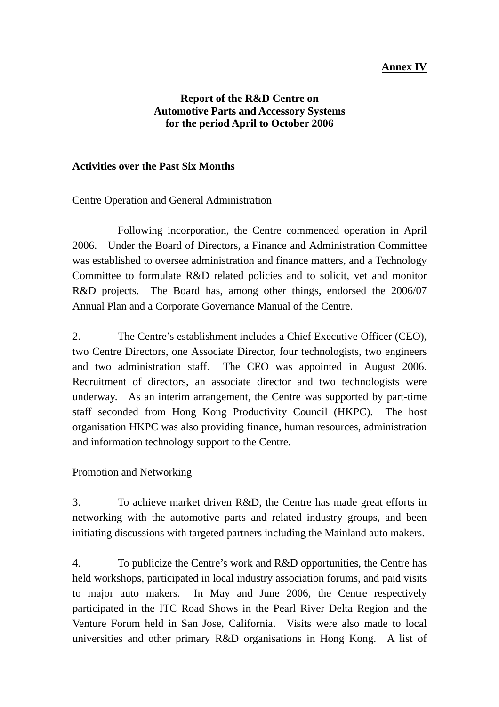## **Annex IV**

#### **Report of the R&D Centre on Automotive Parts and Accessory Systems for the period April to October 2006**

#### **Activities over the Past Six Months**

Centre Operation and General Administration

 Following incorporation, the Centre commenced operation in April 2006. Under the Board of Directors, a Finance and Administration Committee was established to oversee administration and finance matters, and a Technology Committee to formulate R&D related policies and to solicit, vet and monitor R&D projects. The Board has, among other things, endorsed the 2006/07 Annual Plan and a Corporate Governance Manual of the Centre.

2. The Centre's establishment includes a Chief Executive Officer (CEO), two Centre Directors, one Associate Director, four technologists, two engineers and two administration staff. The CEO was appointed in August 2006. Recruitment of directors, an associate director and two technologists were underway. As an interim arrangement, the Centre was supported by part-time staff seconded from Hong Kong Productivity Council (HKPC). The host organisation HKPC was also providing finance, human resources, administration and information technology support to the Centre.

Promotion and Networking

3. To achieve market driven R&D, the Centre has made great efforts in networking with the automotive parts and related industry groups, and been initiating discussions with targeted partners including the Mainland auto makers.

4. To publicize the Centre's work and R&D opportunities, the Centre has held workshops, participated in local industry association forums, and paid visits to major auto makers. In May and June 2006, the Centre respectively participated in the ITC Road Shows in the Pearl River Delta Region and the Venture Forum held in San Jose, California. Visits were also made to local universities and other primary R&D organisations in Hong Kong. A list of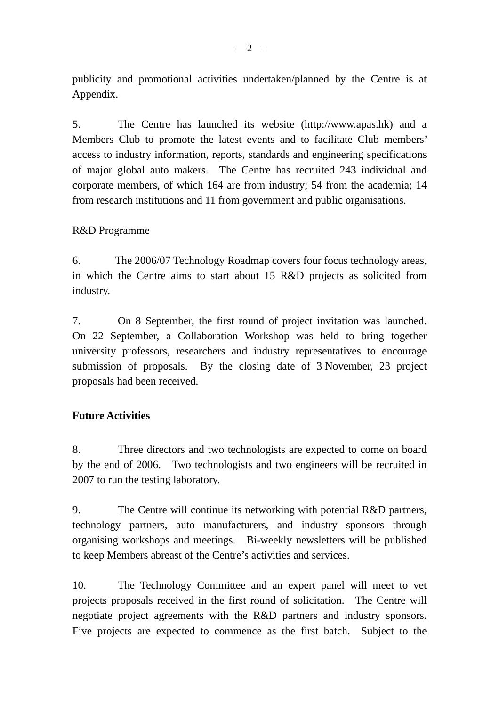publicity and promotional activities undertaken/planned by the Centre is at Appendix.

5. The Centre has launched its website (http://www.apas.hk) and a Members Club to promote the latest events and to facilitate Club members' access to industry information, reports, standards and engineering specifications of major global auto makers. The Centre has recruited 243 individual and corporate members, of which 164 are from industry; 54 from the academia; 14 from research institutions and 11 from government and public organisations.

## R&D Programme

6. The 2006/07 Technology Roadmap covers four focus technology areas, in which the Centre aims to start about 15 R&D projects as solicited from industry.

7. On 8 September, the first round of project invitation was launched. On 22 September, a Collaboration Workshop was held to bring together university professors, researchers and industry representatives to encourage submission of proposals. By the closing date of 3 November, 23 project proposals had been received.

#### **Future Activities**

8. Three directors and two technologists are expected to come on board by the end of 2006. Two technologists and two engineers will be recruited in 2007 to run the testing laboratory.

9. The Centre will continue its networking with potential R&D partners, technology partners, auto manufacturers, and industry sponsors through organising workshops and meetings. Bi-weekly newsletters will be published to keep Members abreast of the Centre's activities and services.

10. The Technology Committee and an expert panel will meet to vet projects proposals received in the first round of solicitation. The Centre will negotiate project agreements with the R&D partners and industry sponsors. Five projects are expected to commence as the first batch. Subject to the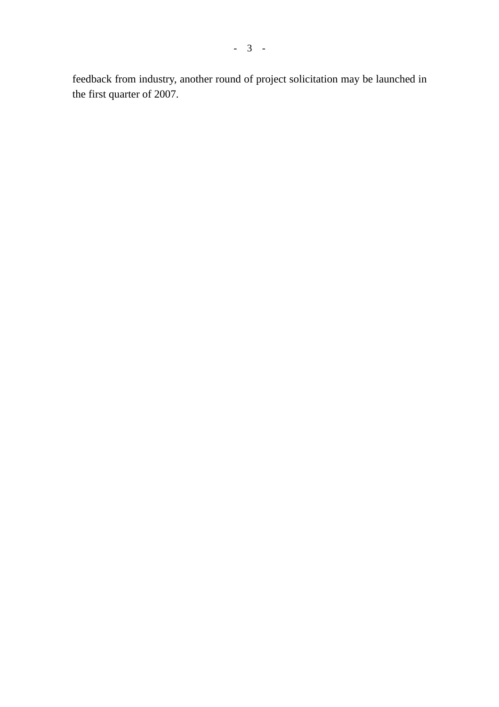feedback from industry, another round of project solicitation may be launched in the first quarter of 2007.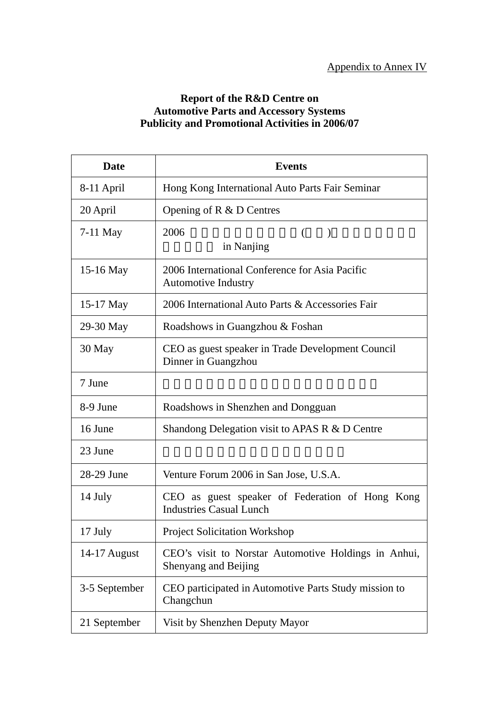#### **Report of the R&D Centre on Automotive Parts and Accessory Systems Publicity and Promotional Activities in 2006/07**

| <b>Date</b>   | <b>Events</b>                                                                     |
|---------------|-----------------------------------------------------------------------------------|
| 8-11 April    | Hong Kong International Auto Parts Fair Seminar                                   |
| 20 April      | Opening of $R \& D$ Centres                                                       |
| $7-11$ May    | 2006<br>$\left($<br>$\lambda$<br>in Nanjing                                       |
| 15-16 May     | 2006 International Conference for Asia Pacific<br><b>Automotive Industry</b>      |
| $15-17$ May   | 2006 International Auto Parts & Accessories Fair                                  |
| 29-30 May     | Roadshows in Guangzhou & Foshan                                                   |
| 30 May        | CEO as guest speaker in Trade Development Council<br>Dinner in Guangzhou          |
| 7 June        |                                                                                   |
| 8-9 June      | Roadshows in Shenzhen and Dongguan                                                |
| 16 June       | Shandong Delegation visit to APAS R & D Centre                                    |
| 23 June       |                                                                                   |
| 28-29 June    | Venture Forum 2006 in San Jose, U.S.A.                                            |
| 14 July       | CEO as guest speaker of Federation of Hong Kong<br><b>Industries Casual Lunch</b> |
| 17 July       | <b>Project Solicitation Workshop</b>                                              |
| 14-17 August  | CEO's visit to Norstar Automotive Holdings in Anhui,<br>Shenyang and Beijing      |
| 3-5 September | CEO participated in Automotive Parts Study mission to<br>Changchun                |
| 21 September  | Visit by Shenzhen Deputy Mayor                                                    |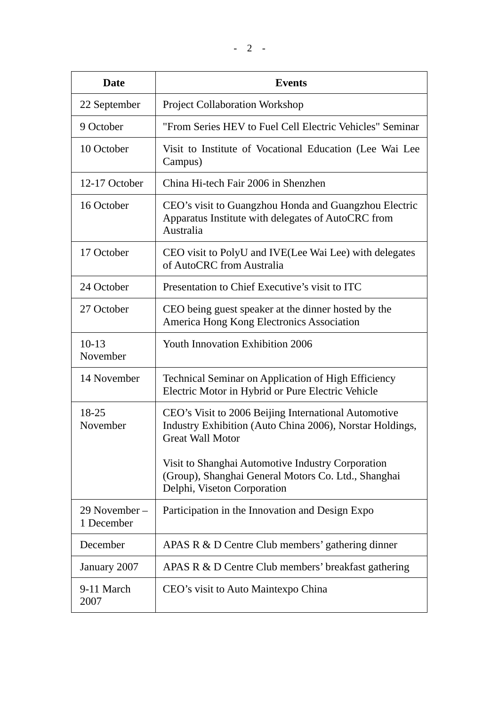| <b>Date</b>                 | <b>Events</b>                                                                                                                               |
|-----------------------------|---------------------------------------------------------------------------------------------------------------------------------------------|
| 22 September                | <b>Project Collaboration Workshop</b>                                                                                                       |
| 9 October                   | "From Series HEV to Fuel Cell Electric Vehicles" Seminar                                                                                    |
| 10 October                  | Visit to Institute of Vocational Education (Lee Wai Lee<br>Campus)                                                                          |
| 12-17 October               | China Hi-tech Fair 2006 in Shenzhen                                                                                                         |
| 16 October                  | CEO's visit to Guangzhou Honda and Guangzhou Electric<br>Apparatus Institute with delegates of AutoCRC from<br>Australia                    |
| 17 October                  | CEO visit to PolyU and IVE(Lee Wai Lee) with delegates<br>of AutoCRC from Australia                                                         |
| 24 October                  | Presentation to Chief Executive's visit to ITC                                                                                              |
| 27 October                  | CEO being guest speaker at the dinner hosted by the<br>America Hong Kong Electronics Association                                            |
| $10-13$<br>November         | <b>Youth Innovation Exhibition 2006</b>                                                                                                     |
| 14 November                 | <b>Technical Seminar on Application of High Efficiency</b><br>Electric Motor in Hybrid or Pure Electric Vehicle                             |
| 18-25<br>November           | CEO's Visit to 2006 Beijing International Automotive<br>Industry Exhibition (Auto China 2006), Norstar Holdings,<br><b>Great Wall Motor</b> |
|                             | Visit to Shanghai Automotive Industry Corporation<br>(Group), Shanghai General Motors Co. Ltd., Shanghai<br>Delphi, Viseton Corporation     |
| 29 November –<br>1 December | Participation in the Innovation and Design Expo                                                                                             |
| December                    | APAS R & D Centre Club members' gathering dinner                                                                                            |
| January 2007                | APAS R & D Centre Club members' breakfast gathering                                                                                         |
| 9-11 March<br>2007          | CEO's visit to Auto Maintexpo China                                                                                                         |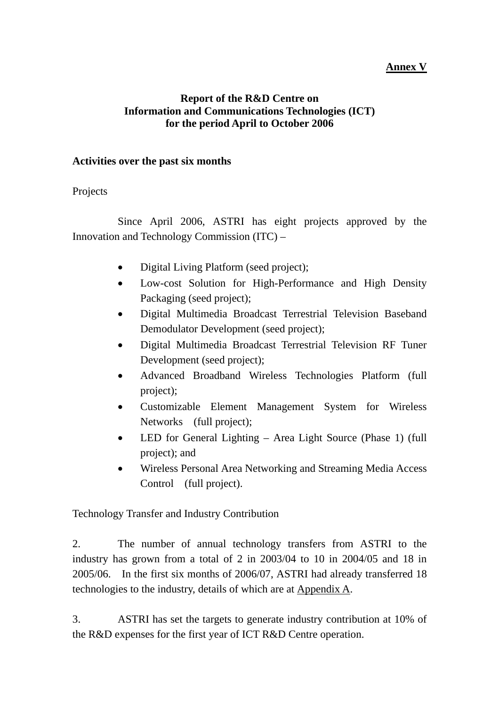## **Annex V**

#### **Report of the R&D Centre on Information and Communications Technologies (ICT) for the period April to October 2006**

#### **Activities over the past six months**

#### Projects

 Since April 2006, ASTRI has eight projects approved by the Innovation and Technology Commission (ITC) –

- Digital Living Platform (seed project);
- Low-cost Solution for High-Performance and High Density Packaging (seed project);
- Digital Multimedia Broadcast Terrestrial Television Baseband Demodulator Development (seed project);
- Digital Multimedia Broadcast Terrestrial Television RF Tuner Development (seed project);
- Advanced Broadband Wireless Technologies Platform (full project);
- Customizable Element Management System for Wireless Networks (full project);
- LED for General Lighting Area Light Source (Phase 1) (full project); and
- Wireless Personal Area Networking and Streaming Media Access Control (full project).

Technology Transfer and Industry Contribution

2. The number of annual technology transfers from ASTRI to the industry has grown from a total of 2 in 2003/04 to 10 in 2004/05 and 18 in 2005/06. In the first six months of 2006/07, ASTRI had already transferred 18 technologies to the industry, details of which are at Appendix A.

3. ASTRI has set the targets to generate industry contribution at 10% of the R&D expenses for the first year of ICT R&D Centre operation.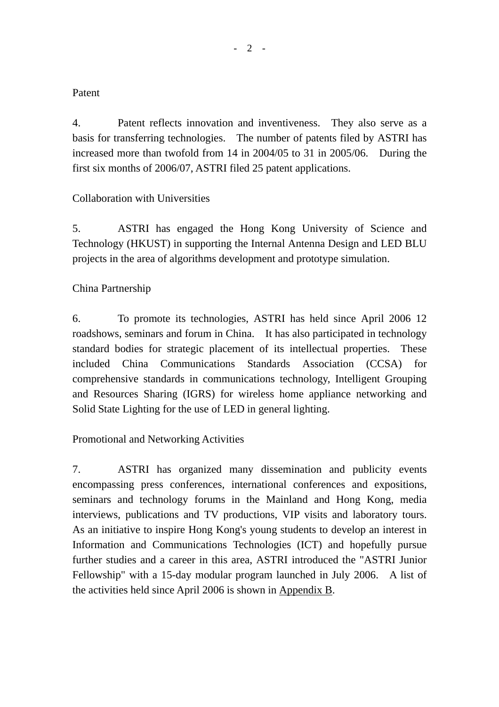#### Patent

4. Patent reflects innovation and inventiveness. They also serve as a basis for transferring technologies. The number of patents filed by ASTRI has increased more than twofold from 14 in 2004/05 to 31 in 2005/06. During the first six months of 2006/07, ASTRI filed 25 patent applications.

## Collaboration with Universities

5. ASTRI has engaged the Hong Kong University of Science and Technology (HKUST) in supporting the Internal Antenna Design and LED BLU projects in the area of algorithms development and prototype simulation.

## China Partnership

6. To promote its technologies, ASTRI has held since April 2006 12 roadshows, seminars and forum in China. It has also participated in technology standard bodies for strategic placement of its intellectual properties. These included China Communications Standards Association (CCSA) for comprehensive standards in communications technology, Intelligent Grouping and Resources Sharing (IGRS) for wireless home appliance networking and Solid State Lighting for the use of LED in general lighting.

#### Promotional and Networking Activities

7. ASTRI has organized many dissemination and publicity events encompassing press conferences, international conferences and expositions, seminars and technology forums in the Mainland and Hong Kong, media interviews, publications and TV productions, VIP visits and laboratory tours. As an initiative to inspire Hong Kong's young students to develop an interest in Information and Communications Technologies (ICT) and hopefully pursue further studies and a career in this area, ASTRI introduced the "ASTRI Junior Fellowship" with a 15-day modular program launched in July 2006. A list of the activities held since April 2006 is shown in Appendix B.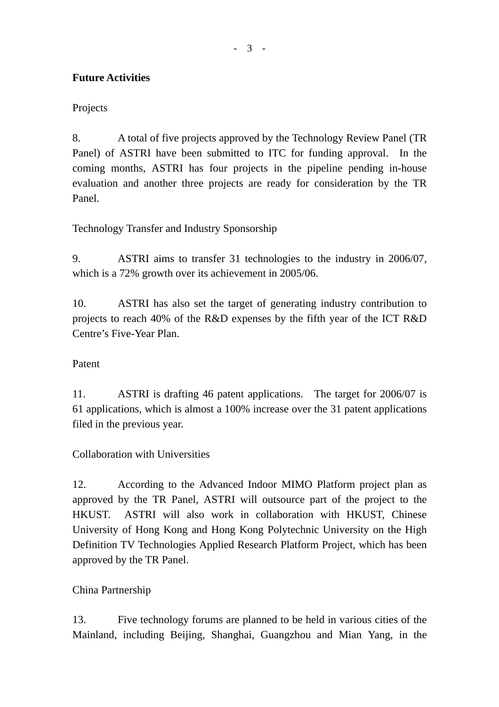## **Future Activities**

## Projects

8. A total of five projects approved by the Technology Review Panel (TR Panel) of ASTRI have been submitted to ITC for funding approval. In the coming months, ASTRI has four projects in the pipeline pending in-house evaluation and another three projects are ready for consideration by the TR Panel.

Technology Transfer and Industry Sponsorship

9. ASTRI aims to transfer 31 technologies to the industry in 2006/07, which is a 72% growth over its achievement in 2005/06.

10. ASTRI has also set the target of generating industry contribution to projects to reach 40% of the R&D expenses by the fifth year of the ICT R&D Centre's Five-Year Plan.

#### Patent

11. ASTRI is drafting 46 patent applications. The target for 2006/07 is 61 applications, which is almost a 100% increase over the 31 patent applications filed in the previous year.

Collaboration with Universities

12. According to the Advanced Indoor MIMO Platform project plan as approved by the TR Panel, ASTRI will outsource part of the project to the HKUST. ASTRI will also work in collaboration with HKUST, Chinese University of Hong Kong and Hong Kong Polytechnic University on the High Definition TV Technologies Applied Research Platform Project, which has been approved by the TR Panel.

## China Partnership

13. Five technology forums are planned to be held in various cities of the Mainland, including Beijing, Shanghai, Guangzhou and Mian Yang, in the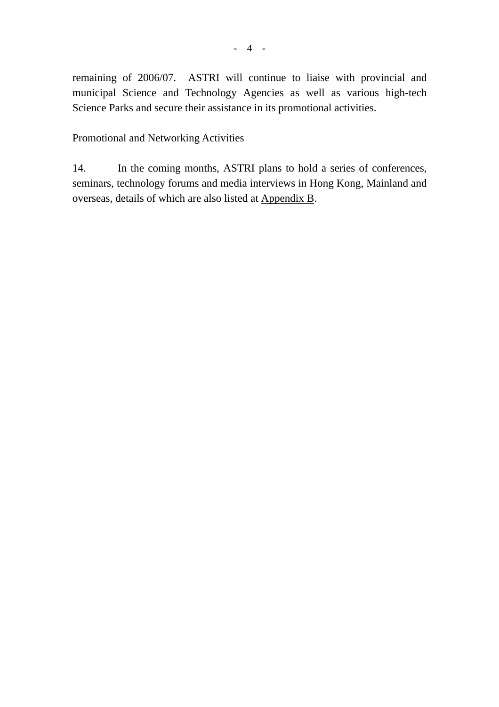remaining of 2006/07. ASTRI will continue to liaise with provincial and municipal Science and Technology Agencies as well as various high-tech Science Parks and secure their assistance in its promotional activities.

Promotional and Networking Activities

14. In the coming months, ASTRI plans to hold a series of conferences, seminars, technology forums and media interviews in Hong Kong, Mainland and overseas, details of which are also listed at Appendix B.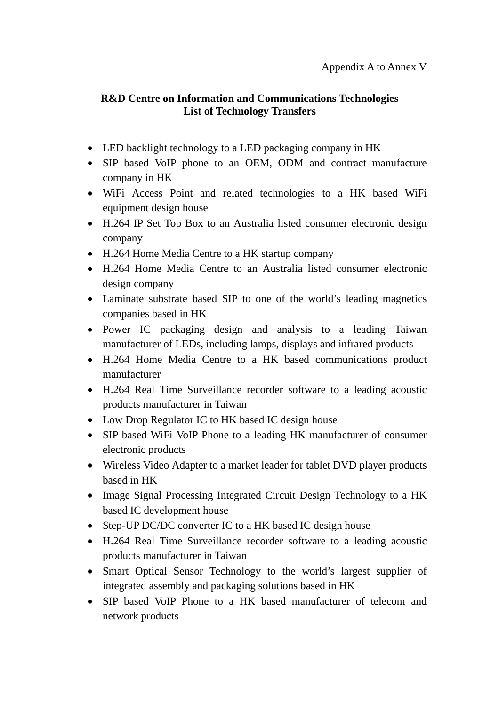## **R&D Centre on Information and Communications Technologies List of Technology Transfers**

- LED backlight technology to a LED packaging company in HK
- SIP based VoIP phone to an OEM, ODM and contract manufacture company in HK
- WiFi Access Point and related technologies to a HK based WiFi equipment design house
- H.264 IP Set Top Box to an Australia listed consumer electronic design company
- H.264 Home Media Centre to a HK startup company
- H.264 Home Media Centre to an Australia listed consumer electronic design company
- Laminate substrate based SIP to one of the world's leading magnetics companies based in HK
- Power IC packaging design and analysis to a leading Taiwan manufacturer of LEDs, including lamps, displays and infrared products
- H.264 Home Media Centre to a HK based communications product manufacturer
- H.264 Real Time Surveillance recorder software to a leading acoustic products manufacturer in Taiwan
- Low Drop Regulator IC to HK based IC design house
- SIP based WiFi VoIP Phone to a leading HK manufacturer of consumer electronic products
- Wireless Video Adapter to a market leader for tablet DVD player products based in HK
- Image Signal Processing Integrated Circuit Design Technology to a HK based IC development house
- Step-UP DC/DC converter IC to a HK based IC design house
- H.264 Real Time Surveillance recorder software to a leading acoustic products manufacturer in Taiwan
- Smart Optical Sensor Technology to the world's largest supplier of integrated assembly and packaging solutions based in HK
- SIP based VoIP Phone to a HK based manufacturer of telecom and network products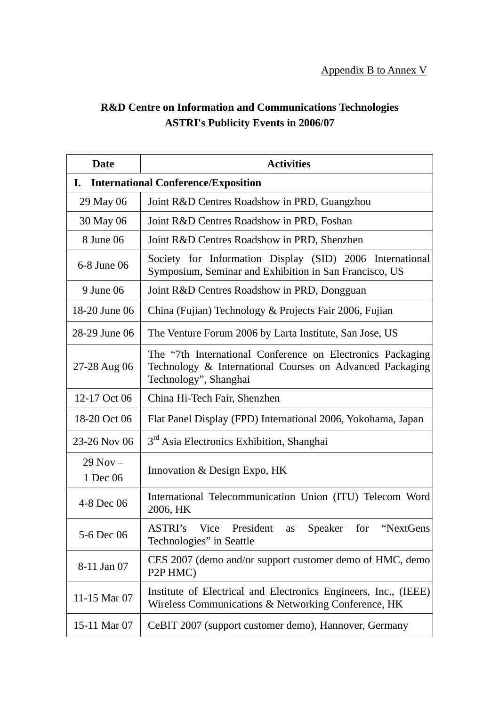# **R&D Centre on Information and Communications Technologies ASTRI's Publicity Events in 2006/07**

| <b>Date</b>              | <b>Activities</b>                                                                                                                               |  |  |
|--------------------------|-------------------------------------------------------------------------------------------------------------------------------------------------|--|--|
| I.                       | <b>International Conference/Exposition</b>                                                                                                      |  |  |
| 29 May 06                | Joint R&D Centres Roadshow in PRD, Guangzhou                                                                                                    |  |  |
| 30 May 06                | Joint R&D Centres Roadshow in PRD, Foshan                                                                                                       |  |  |
| 8 June 06                | Joint R&D Centres Roadshow in PRD, Shenzhen                                                                                                     |  |  |
| 6-8 June 06              | Society for Information Display (SID) 2006 International<br>Symposium, Seminar and Exhibition in San Francisco, US                              |  |  |
| 9 June 06                | Joint R&D Centres Roadshow in PRD, Dongguan                                                                                                     |  |  |
| 18-20 June 06            | China (Fujian) Technology & Projects Fair 2006, Fujian                                                                                          |  |  |
| 28-29 June 06            | The Venture Forum 2006 by Larta Institute, San Jose, US                                                                                         |  |  |
| 27-28 Aug 06             | The "7th International Conference on Electronics Packaging<br>Technology & International Courses on Advanced Packaging<br>Technology", Shanghai |  |  |
| 12-17 Oct 06             | China Hi-Tech Fair, Shenzhen                                                                                                                    |  |  |
| 18-20 Oct 06             | Flat Panel Display (FPD) International 2006, Yokohama, Japan                                                                                    |  |  |
| 23-26 Nov 06             | 3 <sup>rd</sup> Asia Electronics Exhibition, Shanghai                                                                                           |  |  |
| $29$ Nov $-$<br>1 Dec 06 | Innovation & Design Expo, HK                                                                                                                    |  |  |
| 4-8 Dec 06               | International Telecommunication Union (ITU) Telecom Word<br>2006, HK                                                                            |  |  |
| 5-6 Dec 06               | ASTRI's Vice President as Speaker for<br>"NextGens<br>Technologies" in Seattle                                                                  |  |  |
| 8-11 Jan 07              | CES 2007 (demo and/or support customer demo of HMC, demo<br>P <sub>2</sub> P <sub>HMC</sub> )                                                   |  |  |
| 11-15 Mar 07             | Institute of Electrical and Electronics Engineers, Inc., (IEEE)<br>Wireless Communications & Networking Conference, HK                          |  |  |
| 15-11 Mar 07             | CeBIT 2007 (support customer demo), Hannover, Germany                                                                                           |  |  |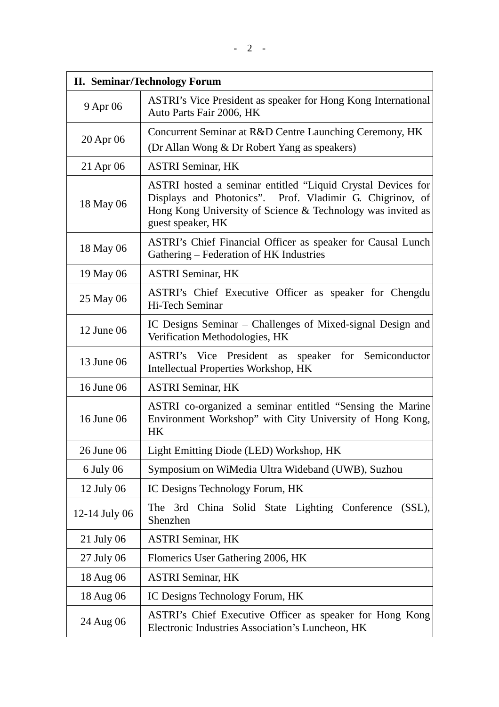| <b>II. Seminar/Technology Forum</b> |                                                                                                                                                                                                             |  |
|-------------------------------------|-------------------------------------------------------------------------------------------------------------------------------------------------------------------------------------------------------------|--|
| 9 Apr 06                            | ASTRI's Vice President as speaker for Hong Kong International<br>Auto Parts Fair 2006, HK                                                                                                                   |  |
| 20 Apr 06                           | Concurrent Seminar at R&D Centre Launching Ceremony, HK<br>(Dr Allan Wong & Dr Robert Yang as speakers)                                                                                                     |  |
| 21 Apr 06                           | <b>ASTRI Seminar, HK</b>                                                                                                                                                                                    |  |
| 18 May 06                           | ASTRI hosted a seminar entitled "Liquid Crystal Devices for<br>Displays and Photonics". Prof. Vladimir G. Chigrinov, of<br>Hong Kong University of Science & Technology was invited as<br>guest speaker, HK |  |
| 18 May 06                           | ASTRI's Chief Financial Officer as speaker for Causal Lunch<br>Gathering - Federation of HK Industries                                                                                                      |  |
| 19 May 06                           | <b>ASTRI Seminar, HK</b>                                                                                                                                                                                    |  |
| 25 May 06                           | ASTRI's Chief Executive Officer as speaker for Chengdu<br>Hi-Tech Seminar                                                                                                                                   |  |
| 12 June 06                          | IC Designs Seminar – Challenges of Mixed-signal Design and<br>Verification Methodologies, HK                                                                                                                |  |
| 13 June 06                          | President as<br>speaker for Semiconductor<br>ASTRI's<br>Vice<br>Intellectual Properties Workshop, HK                                                                                                        |  |
| 16 June 06                          | <b>ASTRI Seminar, HK</b>                                                                                                                                                                                    |  |
| 16 June 06                          | ASTRI co-organized a seminar entitled "Sensing the Marine<br>Environment Workshop" with City University of Hong Kong,<br><b>HK</b>                                                                          |  |
| 26 June 06                          | Light Emitting Diode (LED) Workshop, HK                                                                                                                                                                     |  |
| 6 July 06                           | Symposium on WiMedia Ultra Wideband (UWB), Suzhou                                                                                                                                                           |  |
| $12$ July 06                        | IC Designs Technology Forum, HK                                                                                                                                                                             |  |
| 12-14 July 06                       | China Solid State Lighting Conference<br>$(SSL)$ ,<br>The 3rd<br>Shenzhen                                                                                                                                   |  |
| 21 July 06                          | <b>ASTRI Seminar, HK</b>                                                                                                                                                                                    |  |
| 27 July 06                          | Flomerics User Gathering 2006, HK                                                                                                                                                                           |  |
| 18 Aug 06                           | <b>ASTRI Seminar, HK</b>                                                                                                                                                                                    |  |
| 18 Aug 06                           | IC Designs Technology Forum, HK                                                                                                                                                                             |  |
| 24 Aug 06                           | ASTRI's Chief Executive Officer as speaker for Hong Kong<br>Electronic Industries Association's Luncheon, HK                                                                                                |  |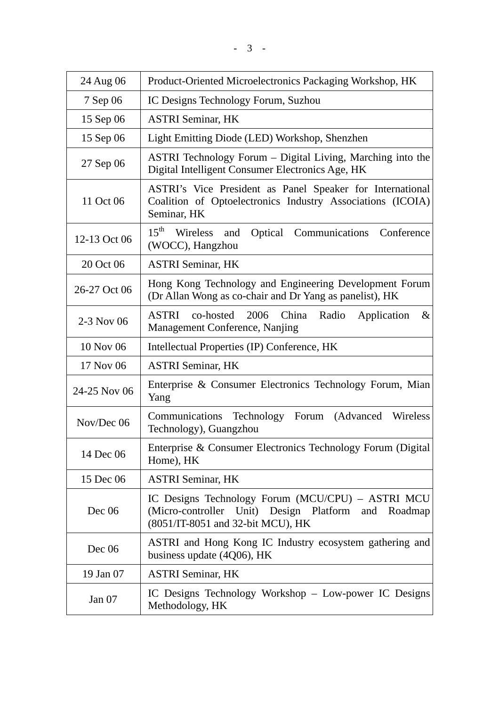| 24 Aug 06    | Product-Oriented Microelectronics Packaging Workshop, HK                                                                                         |
|--------------|--------------------------------------------------------------------------------------------------------------------------------------------------|
| 7 Sep 06     | IC Designs Technology Forum, Suzhou                                                                                                              |
| 15 Sep 06    | <b>ASTRI Seminar, HK</b>                                                                                                                         |
| 15 Sep 06    | Light Emitting Diode (LED) Workshop, Shenzhen                                                                                                    |
| 27 Sep 06    | ASTRI Technology Forum - Digital Living, Marching into the<br>Digital Intelligent Consumer Electronics Age, HK                                   |
| 11 Oct 06    | ASTRI's Vice President as Panel Speaker for International<br>Coalition of Optoelectronics Industry Associations (ICOIA)<br>Seminar, HK           |
| 12-13 Oct 06 | $15^{\text{th}}$<br>Wireless and<br>Optical Communications<br>Conference<br>(WOCC), Hangzhou                                                     |
| 20 Oct 06    | <b>ASTRI Seminar, HK</b>                                                                                                                         |
| 26-27 Oct 06 | Hong Kong Technology and Engineering Development Forum<br>(Dr Allan Wong as co-chair and Dr Yang as panelist), HK                                |
| 2-3 Nov 06   | ASTRI<br>2006<br>China<br>Radio<br>co-hosted<br>Application<br>$\&$<br>Management Conference, Nanjing                                            |
| 10 Nov 06    | Intellectual Properties (IP) Conference, HK                                                                                                      |
| 17 Nov 06    | <b>ASTRI Seminar, HK</b>                                                                                                                         |
| 24-25 Nov 06 | Enterprise & Consumer Electronics Technology Forum, Mian<br>Yang                                                                                 |
| Nov/Dec 06   | Forum (Advanced Wireless<br>Communications<br>Technology<br>Technology), Guangzhou                                                               |
| 14 Dec 06    | Enterprise & Consumer Electronics Technology Forum (Digital)<br>Home), HK                                                                        |
| 15 Dec 06    | <b>ASTRI Seminar, HK</b>                                                                                                                         |
| Dec 06       | IC Designs Technology Forum (MCU/CPU) – ASTRI MCU<br>Unit) Design Platform and Roadmap<br>(Micro-controller<br>(8051/IT-8051 and 32-bit MCU), HK |
| Dec 06       | ASTRI and Hong Kong IC Industry ecosystem gathering and<br>business update (4Q06), HK                                                            |
| 19 Jan 07    | <b>ASTRI Seminar, HK</b>                                                                                                                         |
| Jan $07$     | IC Designs Technology Workshop – Low-power IC Designs<br>Methodology, HK                                                                         |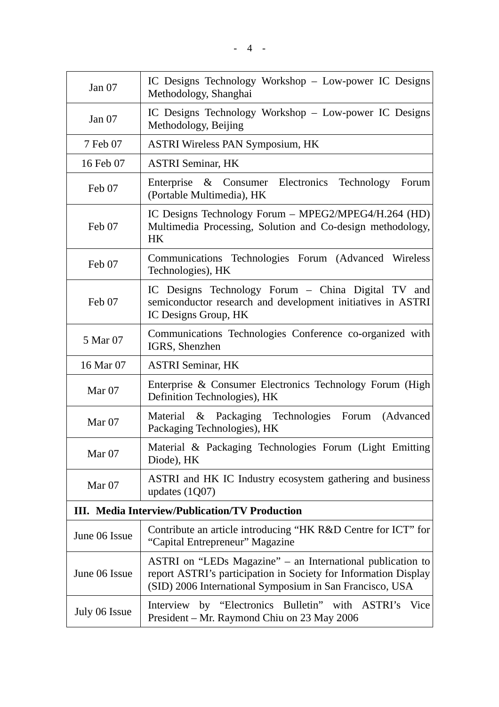| Jan $07$                                              | IC Designs Technology Workshop – Low-power IC Designs<br>Methodology, Shanghai                                                                                                            |  |  |
|-------------------------------------------------------|-------------------------------------------------------------------------------------------------------------------------------------------------------------------------------------------|--|--|
| Jan $07$                                              | IC Designs Technology Workshop – Low-power IC Designs<br>Methodology, Beijing                                                                                                             |  |  |
| 7 Feb 07                                              | <b>ASTRI Wireless PAN Symposium, HK</b>                                                                                                                                                   |  |  |
| 16 Feb 07                                             | <b>ASTRI Seminar, HK</b>                                                                                                                                                                  |  |  |
| Feb 07                                                | Enterprise & Consumer Electronics Technology<br>Forum<br>(Portable Multimedia), HK                                                                                                        |  |  |
| Feb 07                                                | IC Designs Technology Forum – MPEG2/MPEG4/H.264 (HD)<br>Multimedia Processing, Solution and Co-design methodology,<br>HK                                                                  |  |  |
| Feb 07                                                | Communications Technologies Forum (Advanced Wireless<br>Technologies), HK                                                                                                                 |  |  |
| Feb 07                                                | IC Designs Technology Forum - China Digital TV and<br>semiconductor research and development initiatives in ASTRI<br>IC Designs Group, HK                                                 |  |  |
| 5 Mar 07                                              | Communications Technologies Conference co-organized with<br>IGRS, Shenzhen                                                                                                                |  |  |
| 16 Mar 07                                             | <b>ASTRI Seminar, HK</b>                                                                                                                                                                  |  |  |
| Mar <sub>07</sub>                                     | Enterprise & Consumer Electronics Technology Forum (High<br>Definition Technologies), HK                                                                                                  |  |  |
| Mar $07$                                              | Material & Packaging Technologies<br>Forum<br>(Advanced)<br>Packaging Technologies), HK                                                                                                   |  |  |
| Mar <sub>07</sub>                                     | Material & Packaging Technologies Forum (Light Emitting)<br>Diode), HK                                                                                                                    |  |  |
| Mar 07                                                | ASTRI and HK IC Industry ecosystem gathering and business<br>updates $(1Q07)$                                                                                                             |  |  |
| <b>III.</b> Media Interview/Publication/TV Production |                                                                                                                                                                                           |  |  |
| June 06 Issue                                         | Contribute an article introducing "HK R&D Centre for ICT" for<br>"Capital Entrepreneur" Magazine                                                                                          |  |  |
| June 06 Issue                                         | ASTRI on "LEDs Magazine" – an International publication to<br>report ASTRI's participation in Society for Information Display<br>(SID) 2006 International Symposium in San Francisco, USA |  |  |
| July 06 Issue                                         | Interview by "Electronics Bulletin" with ASTRI's Vice<br>President – Mr. Raymond Chiu on 23 May 2006                                                                                      |  |  |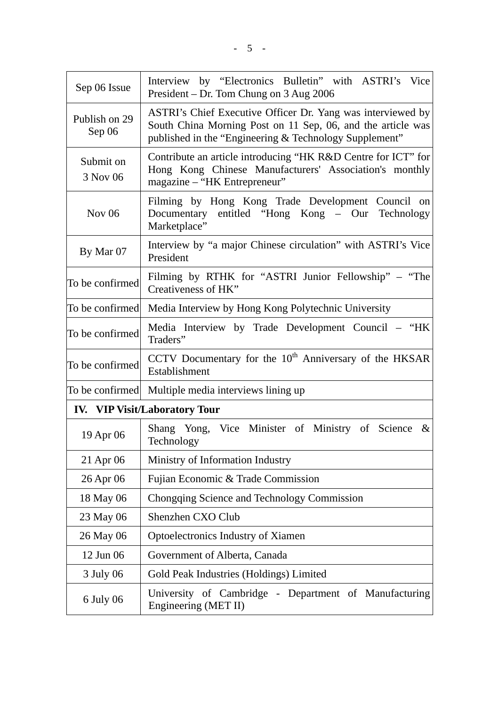| Sep 06 Issue                         | Interview by "Electronics Bulletin" with ASTRI's Vice<br>President – Dr. Tom Chung on 3 Aug 2006                                                                                     |  |  |
|--------------------------------------|--------------------------------------------------------------------------------------------------------------------------------------------------------------------------------------|--|--|
| Publish on 29<br>Sep 06              | ASTRI's Chief Executive Officer Dr. Yang was interviewed by<br>South China Morning Post on 11 Sep, 06, and the article was<br>published in the "Engineering & Technology Supplement" |  |  |
| Submit on<br>3 Nov 06                | Contribute an article introducing "HK R&D Centre for ICT" for<br>Hong Kong Chinese Manufacturers' Association's monthly<br>magazine – "HK Entrepreneur"                              |  |  |
| Nov $06$                             | Filming by Hong Kong Trade Development Council on<br>Documentary entitled "Hong Kong - Our Technology<br>Marketplace"                                                                |  |  |
| By Mar 07                            | Interview by "a major Chinese circulation" with ASTRI's Vice<br>President                                                                                                            |  |  |
| To be confirmed                      | Filming by RTHK for "ASTRI Junior Fellowship" – "The<br>Creativeness of HK"                                                                                                          |  |  |
| To be confirmed                      | Media Interview by Hong Kong Polytechnic University                                                                                                                                  |  |  |
| To be confirmed                      | Media Interview by Trade Development Council – "HK<br>Traders"                                                                                                                       |  |  |
| To be confirmed                      | CCTV Documentary for the 10 <sup>th</sup> Anniversary of the HKSAR<br>Establishment                                                                                                  |  |  |
|                                      | To be confirmed Multiple media interviews lining up                                                                                                                                  |  |  |
| <b>IV.</b> VIP Visit/Laboratory Tour |                                                                                                                                                                                      |  |  |
| 19 Apr 06                            | Shang Yong, Vice Minister of Ministry of Science<br>$\&$<br>Technology                                                                                                               |  |  |
| 21 Apr 06                            | Ministry of Information Industry                                                                                                                                                     |  |  |
| 26 Apr 06                            | Fujian Economic & Trade Commission                                                                                                                                                   |  |  |
| 18 May 06                            | Chongqing Science and Technology Commission                                                                                                                                          |  |  |
| 23 May 06                            | Shenzhen CXO Club                                                                                                                                                                    |  |  |
| 26 May 06                            | Optoelectronics Industry of Xiamen                                                                                                                                                   |  |  |
| 12 Jun 06                            | Government of Alberta, Canada                                                                                                                                                        |  |  |
| 3 July 06                            | Gold Peak Industries (Holdings) Limited                                                                                                                                              |  |  |
| 6 July 06                            | University of Cambridge - Department of Manufacturing<br>Engineering (MET II)                                                                                                        |  |  |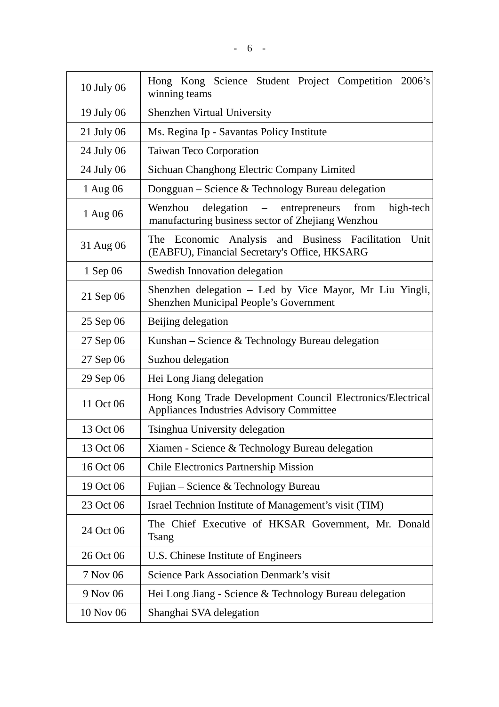| 10 July 06 | Hong Kong Science Student Project Competition 2006's<br>winning teams                                                              |  |  |
|------------|------------------------------------------------------------------------------------------------------------------------------------|--|--|
| 19 July 06 | <b>Shenzhen Virtual University</b>                                                                                                 |  |  |
| 21 July 06 | Ms. Regina Ip - Savantas Policy Institute                                                                                          |  |  |
| 24 July 06 | <b>Taiwan Teco Corporation</b>                                                                                                     |  |  |
| 24 July 06 | Sichuan Changhong Electric Company Limited                                                                                         |  |  |
| 1 Aug 06   | Dongguan - Science & Technology Bureau delegation                                                                                  |  |  |
| 1 Aug 06   | Wenzhou<br>delegation<br>entrepreneurs<br>from<br>high-tech<br>$\sim$ $ \sim$<br>manufacturing business sector of Zhejiang Wenzhou |  |  |
| 31 Aug 06  | The Economic Analysis and Business Facilitation<br>Unit<br>(EABFU), Financial Secretary's Office, HKSARG                           |  |  |
| 1 Sep 06   | Swedish Innovation delegation                                                                                                      |  |  |
| 21 Sep 06  | Shenzhen delegation – Led by Vice Mayor, Mr Liu Yingli,<br><b>Shenzhen Municipal People's Government</b>                           |  |  |
| 25 Sep 06  | Beijing delegation                                                                                                                 |  |  |
| 27 Sep 06  | Kunshan – Science & Technology Bureau delegation                                                                                   |  |  |
| 27 Sep 06  | Suzhou delegation                                                                                                                  |  |  |
| 29 Sep 06  | Hei Long Jiang delegation                                                                                                          |  |  |
| 11 Oct 06  | Hong Kong Trade Development Council Electronics/Electrical<br><b>Appliances Industries Advisory Committee</b>                      |  |  |
| 13 Oct 06  | Tsinghua University delegation                                                                                                     |  |  |
| 13 Oct 06  | Xiamen - Science & Technology Bureau delegation                                                                                    |  |  |
| 16 Oct 06  | <b>Chile Electronics Partnership Mission</b>                                                                                       |  |  |
| 19 Oct 06  | Fujian – Science & Technology Bureau                                                                                               |  |  |
| 23 Oct 06  | Israel Technion Institute of Management's visit (TIM)                                                                              |  |  |
| 24 Oct 06  | The Chief Executive of HKSAR Government, Mr. Donald<br>Tsang                                                                       |  |  |
| 26 Oct 06  | U.S. Chinese Institute of Engineers                                                                                                |  |  |
| 7 Nov 06   | <b>Science Park Association Denmark's visit</b>                                                                                    |  |  |
| 9 Nov 06   | Hei Long Jiang - Science & Technology Bureau delegation                                                                            |  |  |
| 10 Nov 06  | Shanghai SVA delegation                                                                                                            |  |  |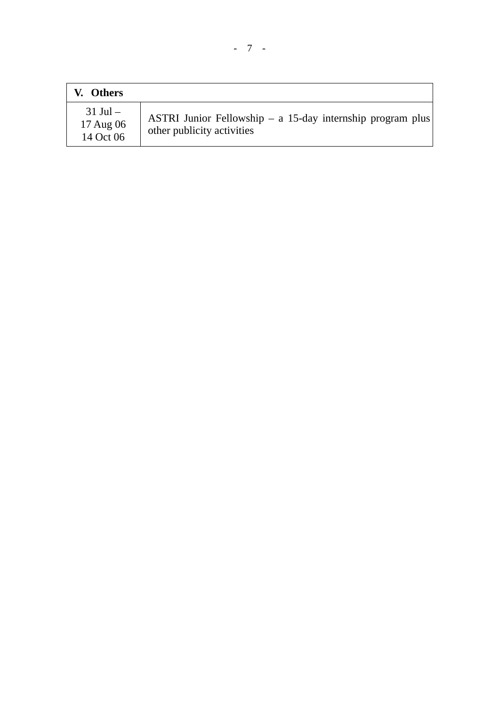| V. Others                              |                                                                                             |
|----------------------------------------|---------------------------------------------------------------------------------------------|
| $31$ Jul $-$<br>17 Aug 06<br>14 Oct 06 | ASTRI Junior Fellowship $- a 15$ -day internship program plus<br>other publicity activities |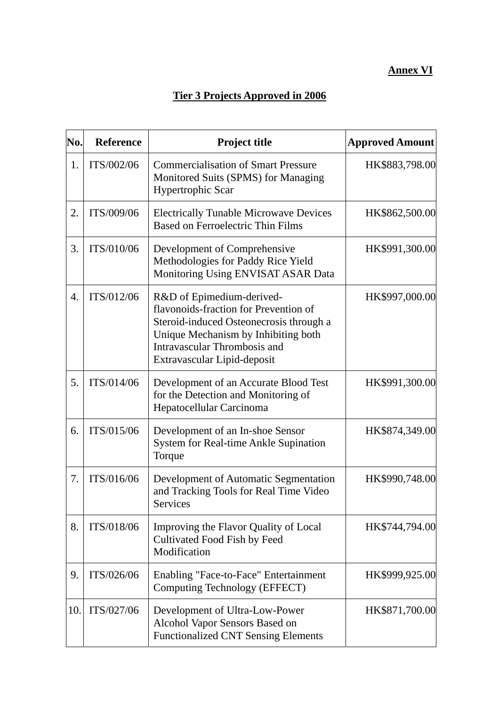## **Annex VI**

# **Tier 3 Projects Approved in 2006**

| No.              | <b>Reference</b> | <b>Project title</b>                                                                                                                                                                                                | <b>Approved Amount</b> |
|------------------|------------------|---------------------------------------------------------------------------------------------------------------------------------------------------------------------------------------------------------------------|------------------------|
| 1.               | ITS/002/06       | <b>Commercialisation of Smart Pressure</b><br>Monitored Suits (SPMS) for Managing<br>Hypertrophic Scar                                                                                                              | HK\$883,798.00         |
| 2.               | ITS/009/06       | <b>Electrically Tunable Microwave Devices</b><br><b>Based on Ferroelectric Thin Films</b>                                                                                                                           | HK\$862,500.00         |
| 3.               | ITS/010/06       | Development of Comprehensive<br>Methodologies for Paddy Rice Yield<br>Monitoring Using ENVISAT ASAR Data                                                                                                            | HK\$991,300.00         |
| $\overline{4}$ . | ITS/012/06       | R&D of Epimedium-derived-<br>flavonoids-fraction for Prevention of<br>Steroid-induced Osteonecrosis through a<br>Unique Mechanism by Inhibiting both<br>Intravascular Thrombosis and<br>Extravascular Lipid-deposit | HK\$997,000.00         |
| 5.               | ITS/014/06       | Development of an Accurate Blood Test<br>for the Detection and Monitoring of<br>Hepatocellular Carcinoma                                                                                                            | HK\$991,300.00         |
| 6.               | ITS/015/06       | Development of an In-shoe Sensor<br>System for Real-time Ankle Supination<br>Torque                                                                                                                                 | HK\$874,349.00         |
| 7.               | ITS/016/06       | Development of Automatic Segmentation<br>and Tracking Tools for Real Time Video<br>Services                                                                                                                         | HK\$990,748.00         |
| 8.               | ITS/018/06       | Improving the Flavor Quality of Local<br>Cultivated Food Fish by Feed<br>Modification                                                                                                                               | HK\$744,794.00         |
| 9.               | ITS/026/06       | Enabling "Face-to-Face" Entertainment<br>Computing Technology (EFFECT)                                                                                                                                              | HK\$999,925.00         |
| 10.              | ITS/027/06       | Development of Ultra-Low-Power<br>Alcohol Vapor Sensors Based on<br><b>Functionalized CNT Sensing Elements</b>                                                                                                      | HK\$871,700.00         |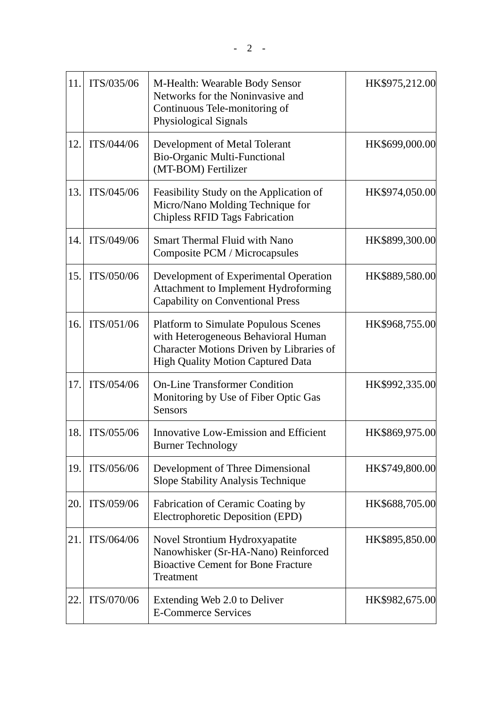| 11. | ITS/035/06 | M-Health: Wearable Body Sensor<br>Networks for the Noninvasive and<br>Continuous Tele-monitoring of<br>Physiological Signals                                               | HK\$975,212.00 |
|-----|------------|----------------------------------------------------------------------------------------------------------------------------------------------------------------------------|----------------|
| 12. | ITS/044/06 | Development of Metal Tolerant<br><b>Bio-Organic Multi-Functional</b><br>(MT-BOM) Fertilizer                                                                                | HK\$699,000.00 |
| 13. | ITS/045/06 | Feasibility Study on the Application of<br>Micro/Nano Molding Technique for<br><b>Chipless RFID Tags Fabrication</b>                                                       | HK\$974,050.00 |
| 14. | ITS/049/06 | <b>Smart Thermal Fluid with Nano</b><br>Composite PCM / Microcapsules                                                                                                      | HK\$899,300.00 |
| 15. | ITS/050/06 | Development of Experimental Operation<br>Attachment to Implement Hydroforming<br><b>Capability on Conventional Press</b>                                                   | HK\$889,580.00 |
| 16. | ITS/051/06 | <b>Platform to Simulate Populous Scenes</b><br>with Heterogeneous Behavioral Human<br>Character Motions Driven by Libraries of<br><b>High Quality Motion Captured Data</b> | HK\$968,755.00 |
| 17. | ITS/054/06 | <b>On-Line Transformer Condition</b><br>Monitoring by Use of Fiber Optic Gas<br><b>Sensors</b>                                                                             | HK\$992,335.00 |
| 18. | ITS/055/06 | <b>Innovative Low-Emission and Efficient</b><br><b>Burner Technology</b>                                                                                                   | HK\$869,975.00 |
| 19. | ITS/056/06 | Development of Three Dimensional<br>Slope Stability Analysis Technique                                                                                                     | HK\$749,800.00 |
| 20. | ITS/059/06 | Fabrication of Ceramic Coating by<br>Electrophoretic Deposition (EPD)                                                                                                      | HK\$688,705.00 |
| 21. | ITS/064/06 | Novel Strontium Hydroxyapatite<br>Nanowhisker (Sr-HA-Nano) Reinforced<br><b>Bioactive Cement for Bone Fracture</b><br>Treatment                                            | HK\$895,850.00 |
| 22. | ITS/070/06 | Extending Web 2.0 to Deliver<br><b>E-Commerce Services</b>                                                                                                                 | HK\$982,675.00 |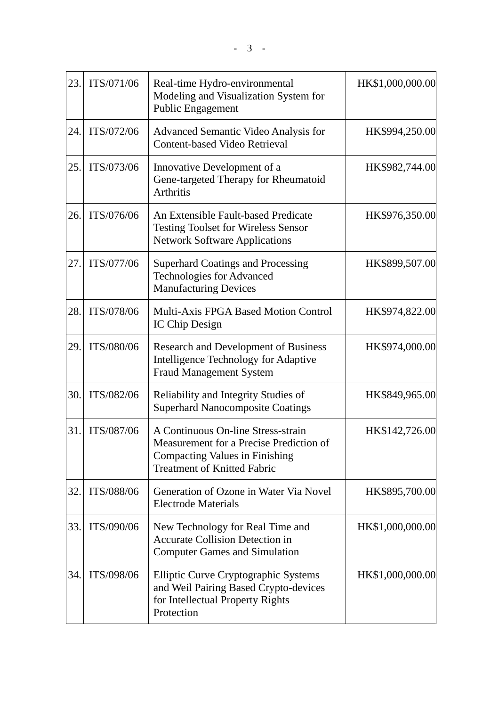| 23. | ITS/071/06 | Real-time Hydro-environmental<br>Modeling and Visualization System for<br><b>Public Engagement</b>                                                    | HK\$1,000,000.00 |
|-----|------------|-------------------------------------------------------------------------------------------------------------------------------------------------------|------------------|
| 24. | ITS/072/06 | Advanced Semantic Video Analysis for<br>Content-based Video Retrieval                                                                                 | HK\$994,250.00   |
| 25. | ITS/073/06 | Innovative Development of a<br>Gene-targeted Therapy for Rheumatoid<br><b>Arthritis</b>                                                               | HK\$982,744.00   |
| 26. | ITS/076/06 | An Extensible Fault-based Predicate<br><b>Testing Toolset for Wireless Sensor</b><br><b>Network Software Applications</b>                             | HK\$976,350.00   |
| 27. | ITS/077/06 | <b>Superhard Coatings and Processing</b><br><b>Technologies for Advanced</b><br><b>Manufacturing Devices</b>                                          | HK\$899,507.00   |
| 28. | ITS/078/06 | <b>Multi-Axis FPGA Based Motion Control</b><br>IC Chip Design                                                                                         | HK\$974,822.00   |
| 29. | ITS/080/06 | <b>Research and Development of Business</b><br>Intelligence Technology for Adaptive<br><b>Fraud Management System</b>                                 | HK\$974,000.00   |
| 30. | ITS/082/06 | Reliability and Integrity Studies of<br><b>Superhard Nanocomposite Coatings</b>                                                                       | HK\$849,965.00   |
| 31. | ITS/087/06 | A Continuous On-line Stress-strain<br>Measurement for a Precise Prediction of<br>Compacting Values in Finishing<br><b>Treatment of Knitted Fabric</b> | HK\$142,726.00   |
| 32. | ITS/088/06 | Generation of Ozone in Water Via Novel<br><b>Electrode Materials</b>                                                                                  | HK\$895,700.00   |
| 33. | ITS/090/06 | New Technology for Real Time and<br><b>Accurate Collision Detection in</b><br><b>Computer Games and Simulation</b>                                    | HK\$1,000,000.00 |
| 34. | ITS/098/06 | Elliptic Curve Cryptographic Systems<br>and Weil Pairing Based Crypto-devices<br>for Intellectual Property Rights<br>Protection                       | HK\$1,000,000.00 |